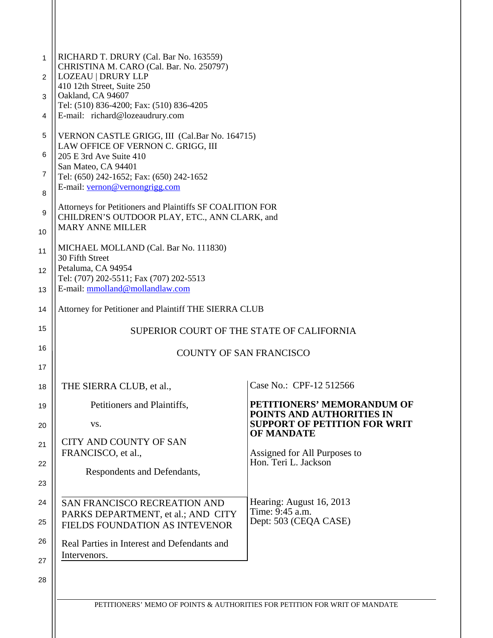| 1<br>2 | RICHARD T. DRURY (Cal. Bar No. 163559)<br>CHRISTINA M. CARO (Cal. Bar. No. 250797)<br><b>LOZEAU   DRURY LLP</b> |                                                          |
|--------|-----------------------------------------------------------------------------------------------------------------|----------------------------------------------------------|
| 3      | 410 12th Street, Suite 250<br>Oakland, CA 94607                                                                 |                                                          |
| 4      | Tel: (510) 836-4200; Fax: (510) 836-4205<br>E-mail: richard@lozeaudrury.com                                     |                                                          |
| 5      | VERNON CASTLE GRIGG, III (Cal.Bar No. 164715)<br>LAW OFFICE OF VERNON C. GRIGG, III                             |                                                          |
| 6      | 205 E 3rd Ave Suite 410<br>San Mateo, CA 94401                                                                  |                                                          |
| 7<br>8 | Tel: (650) 242-1652; Fax: (650) 242-1652<br>E-mail: vernon@vernongrigg.com                                      |                                                          |
| 9      | Attorneys for Petitioners and Plaintiffs SF COALITION FOR<br>CHILDREN'S OUTDOOR PLAY, ETC., ANN CLARK, and      |                                                          |
| 10     | <b>MARY ANNE MILLER</b>                                                                                         |                                                          |
| 11     | MICHAEL MOLLAND (Cal. Bar No. 111830)<br>30 Fifth Street                                                        |                                                          |
| 12     | Petaluma, CA 94954<br>Tel: (707) 202-5511; Fax (707) 202-5513<br>E-mail: mmolland@mollandlaw.com                |                                                          |
| 13     |                                                                                                                 |                                                          |
| 14     | Attorney for Petitioner and Plaintiff THE SIERRA CLUB                                                           |                                                          |
| 15     | SUPERIOR COURT OF THE STATE OF CALIFORNIA                                                                       |                                                          |
| 16     | <b>COUNTY OF SAN FRANCISCO</b>                                                                                  |                                                          |
| 17     |                                                                                                                 |                                                          |
| 18     | THE SIERRA CLUB, et al.,                                                                                        | Case No.: CPF-12 512566                                  |
| 19     | Petitioners and Plaintiffs,                                                                                     | PETITIONERS' MEMORANDUM OF<br>POINTS AND AUTHORITIES IN  |
| 20     | VS.                                                                                                             | <b>SUPPORT OF PETITION FOR WRIT</b><br><b>OF MANDATE</b> |
| 21     | <b>CITY AND COUNTY OF SAN</b><br>FRANCISCO, et al.,                                                             | Assigned for All Purposes to                             |
| 22     | Respondents and Defendants,                                                                                     | Hon. Teri L. Jackson                                     |
| 23     |                                                                                                                 |                                                          |
| 24     | SAN FRANCISCO RECREATION AND                                                                                    | Hearing: August 16, 2013<br>Time: 9:45 a.m.              |
| 25     | PARKS DEPARTMENT, et al.; AND CITY<br>FIELDS FOUNDATION AS INTEVENOR                                            | Dept: 503 (CEQA CASE)                                    |
| 26     | Real Parties in Interest and Defendants and<br>Intervenors.                                                     |                                                          |
| 27     |                                                                                                                 |                                                          |
| 28     |                                                                                                                 |                                                          |

| PETITIONERS' MEMO OF POINTS & AUTHORITIES FOR PETITION FOR WRIT OF MANDATE |  |  |
|----------------------------------------------------------------------------|--|--|
|----------------------------------------------------------------------------|--|--|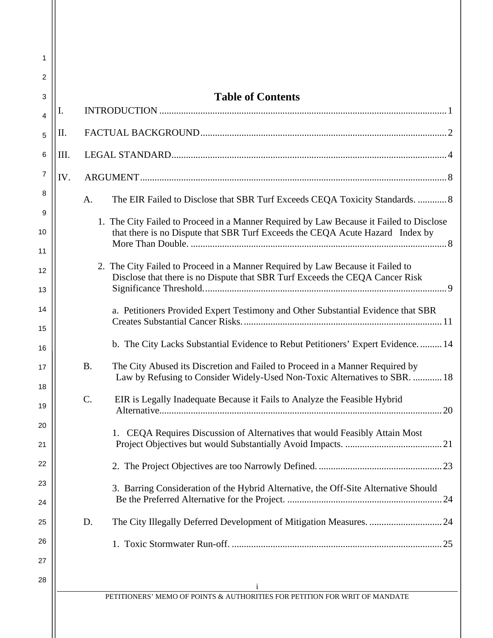| 1                                                                    |                                                                                                                                                                                                                                                                                                                                                                                                                                                                                                                                                                                                                                                                                                                                                                                                                                                                                |
|----------------------------------------------------------------------|--------------------------------------------------------------------------------------------------------------------------------------------------------------------------------------------------------------------------------------------------------------------------------------------------------------------------------------------------------------------------------------------------------------------------------------------------------------------------------------------------------------------------------------------------------------------------------------------------------------------------------------------------------------------------------------------------------------------------------------------------------------------------------------------------------------------------------------------------------------------------------|
| 2                                                                    |                                                                                                                                                                                                                                                                                                                                                                                                                                                                                                                                                                                                                                                                                                                                                                                                                                                                                |
| 3                                                                    | <b>Table of Contents</b>                                                                                                                                                                                                                                                                                                                                                                                                                                                                                                                                                                                                                                                                                                                                                                                                                                                       |
| 4                                                                    | I.                                                                                                                                                                                                                                                                                                                                                                                                                                                                                                                                                                                                                                                                                                                                                                                                                                                                             |
| 5                                                                    | Π.                                                                                                                                                                                                                                                                                                                                                                                                                                                                                                                                                                                                                                                                                                                                                                                                                                                                             |
| 6                                                                    | III.                                                                                                                                                                                                                                                                                                                                                                                                                                                                                                                                                                                                                                                                                                                                                                                                                                                                           |
| $\overline{7}$                                                       | IV.                                                                                                                                                                                                                                                                                                                                                                                                                                                                                                                                                                                                                                                                                                                                                                                                                                                                            |
| 8                                                                    | The EIR Failed to Disclose that SBR Turf Exceeds CEQA Toxicity Standards.  8<br>A.                                                                                                                                                                                                                                                                                                                                                                                                                                                                                                                                                                                                                                                                                                                                                                                             |
| 10<br>11<br>12<br>13<br>14<br>15<br>16<br>17<br>18<br>19<br>20<br>21 | 1. The City Failed to Proceed in a Manner Required by Law Because it Failed to Disclose<br>that there is no Dispute that SBR Turf Exceeds the CEQA Acute Hazard Index by<br>2. The City Failed to Proceed in a Manner Required by Law Because it Failed to<br>Disclose that there is no Dispute that SBR Turf Exceeds the CEQA Cancer Risk<br>a. Petitioners Provided Expert Testimony and Other Substantial Evidence that SBR<br>b. The City Lacks Substantial Evidence to Rebut Petitioners' Expert Evidence 14<br><b>B.</b><br>The City Abused its Discretion and Failed to Proceed in a Manner Required by<br>Law by Refusing to Consider Widely-Used Non-Toxic Alternatives to SBR.  18<br>$\mathcal{C}$ .<br>EIR is Legally Inadequate Because it Fails to Analyze the Feasible Hybrid<br>CEQA Requires Discussion of Alternatives that would Feasibly Attain Most<br>1. |
| 22                                                                   |                                                                                                                                                                                                                                                                                                                                                                                                                                                                                                                                                                                                                                                                                                                                                                                                                                                                                |
| 23<br>24                                                             | 3. Barring Consideration of the Hybrid Alternative, the Off-Site Alternative Should                                                                                                                                                                                                                                                                                                                                                                                                                                                                                                                                                                                                                                                                                                                                                                                            |
| 25                                                                   | The City Illegally Deferred Development of Mitigation Measures.  24<br>D.                                                                                                                                                                                                                                                                                                                                                                                                                                                                                                                                                                                                                                                                                                                                                                                                      |
| 26                                                                   |                                                                                                                                                                                                                                                                                                                                                                                                                                                                                                                                                                                                                                                                                                                                                                                                                                                                                |
| 27                                                                   |                                                                                                                                                                                                                                                                                                                                                                                                                                                                                                                                                                                                                                                                                                                                                                                                                                                                                |
| 28                                                                   |                                                                                                                                                                                                                                                                                                                                                                                                                                                                                                                                                                                                                                                                                                                                                                                                                                                                                |
|                                                                      | PETITIONERS' MEMO OF POINTS & AUTHORITIES FOR PETITION FOR WRIT OF MANDATE                                                                                                                                                                                                                                                                                                                                                                                                                                                                                                                                                                                                                                                                                                                                                                                                     |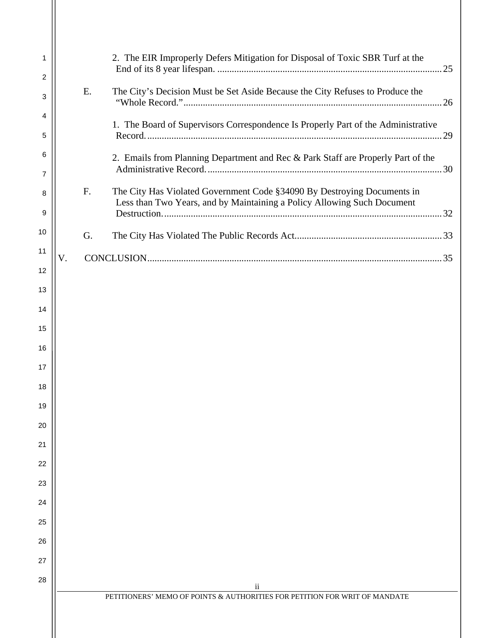| 1<br>2<br>3<br>4 | E. | 2. The EIR Improperly Defers Mitigation for Disposal of Toxic SBR Turf at the<br>The City's Decision Must be Set Aside Because the City Refuses to Produce the<br>1. The Board of Supervisors Correspondence Is Properly Part of the Administrative |
|------------------|----|-----------------------------------------------------------------------------------------------------------------------------------------------------------------------------------------------------------------------------------------------------|
| 5                |    | .29                                                                                                                                                                                                                                                 |
| 6<br>7           |    | 2. Emails from Planning Department and Rec & Park Staff are Properly Part of the                                                                                                                                                                    |
| 8                | F. | The City Has Violated Government Code §34090 By Destroying Documents in<br>Less than Two Years, and by Maintaining a Policy Allowing Such Document                                                                                                  |
| 9                |    |                                                                                                                                                                                                                                                     |
| 10               | G. |                                                                                                                                                                                                                                                     |
| 11               | V. |                                                                                                                                                                                                                                                     |
| 12               |    |                                                                                                                                                                                                                                                     |
| 13               |    |                                                                                                                                                                                                                                                     |
| 14               |    |                                                                                                                                                                                                                                                     |
| 15               |    |                                                                                                                                                                                                                                                     |
| 16               |    |                                                                                                                                                                                                                                                     |
| 17               |    |                                                                                                                                                                                                                                                     |
| 18               |    |                                                                                                                                                                                                                                                     |
| 19               |    |                                                                                                                                                                                                                                                     |
| 20               |    |                                                                                                                                                                                                                                                     |
| 21               |    |                                                                                                                                                                                                                                                     |
| 22               |    |                                                                                                                                                                                                                                                     |
| 23               |    |                                                                                                                                                                                                                                                     |
| 24               |    |                                                                                                                                                                                                                                                     |
| 25               |    |                                                                                                                                                                                                                                                     |
| 26               |    |                                                                                                                                                                                                                                                     |
| 27               |    |                                                                                                                                                                                                                                                     |
| 28               |    | ii<br>PETITIONERS' MEMO OF POINTS & AUTHORITIES FOR PETITION FOR WRIT OF MANDATE                                                                                                                                                                    |
|                  |    |                                                                                                                                                                                                                                                     |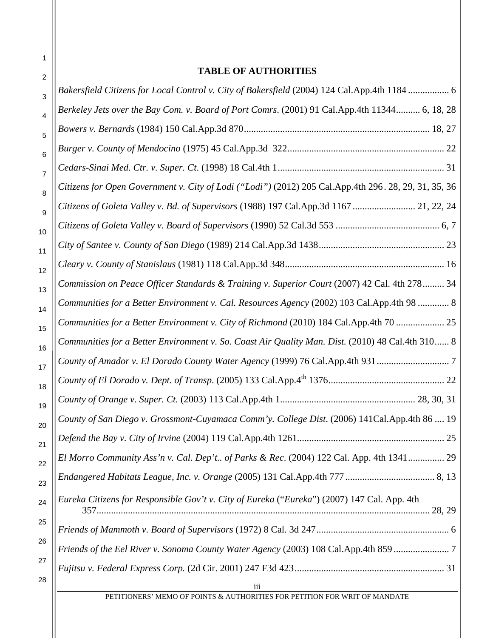# **TABLE OF AUTHORITIES**

| 2              | TABLE OF AUTHORITIES                                                                                 |
|----------------|------------------------------------------------------------------------------------------------------|
| 3              | Bakersfield Citizens for Local Control v. City of Bakersfield (2004) 124 Cal.App.4th 1184  6         |
| 4              | Berkeley Jets over the Bay Com. v. Board of Port Comrs. (2001) 91 Cal.App.4th 11344 6, 18, 28        |
| 5              |                                                                                                      |
| 6              |                                                                                                      |
| $\overline{7}$ |                                                                                                      |
| 8              | Citizens for Open Government v. City of Lodi ("Lodi") (2012) 205 Cal.App.4th 296. 28, 29, 31, 35, 36 |
| 9              | Citizens of Goleta Valley v. Bd. of Supervisors (1988) 197 Cal.App.3d 1167  21, 22, 24               |
| 10             |                                                                                                      |
| 11             |                                                                                                      |
| 12             |                                                                                                      |
| 13             | Commission on Peace Officer Standards & Training v. Superior Court (2007) 42 Cal. 4th 278 34         |
| 14             | Communities for a Better Environment v. Cal. Resources Agency (2002) 103 Cal.App.4th 98  8           |
| 15             | Communities for a Better Environment v. City of Richmond (2010) 184 Cal.App.4th 70  25               |
| 16             | Communities for a Better Environment v. So. Coast Air Quality Man. Dist. (2010) 48 Cal.4th 310 8     |
| 17             | County of Amador v. El Dorado County Water Agency (1999) 76 Cal.App.4th 931 7                        |
| 18             |                                                                                                      |
| 19             |                                                                                                      |
| 20             | County of San Diego v. Grossmont-Cuyamaca Comm'y. College Dist. (2006) 141Cal.App.4th 86  19         |
| 21             |                                                                                                      |
| 22             | El Morro Community Ass'n v. Cal. Dep't of Parks & Rec. (2004) 122 Cal. App. 4th 1341 29              |
| 23             |                                                                                                      |
| 24             | Eureka Citizens for Responsible Gov't v. City of Eureka ("Eureka") (2007) 147 Cal. App. 4th          |
| 25             |                                                                                                      |
| 26             | Friends of the Eel River v. Sonoma County Water Agency (2003) 108 Cal.App.4th 859                    |
| 27             |                                                                                                      |
| 28             | iii                                                                                                  |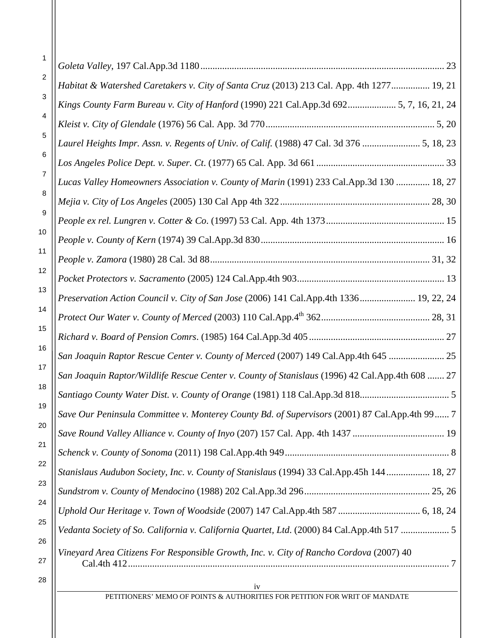| 1        |                                                                                                         |
|----------|---------------------------------------------------------------------------------------------------------|
| 2        | Habitat & Watershed Caretakers v. City of Santa Cruz (2013) 213 Cal. App. 4th 1277 19, 21               |
| 3        | Kings County Farm Bureau v. City of Hanford (1990) 221 Cal.App.3d 692 5, 7, 16, 21, 24                  |
| 4        |                                                                                                         |
| 5        | Laurel Heights Impr. Assn. v. Regents of Univ. of Calif. (1988) 47 Cal. 3d 376  5, 18, 23               |
| 6        |                                                                                                         |
| 7        | Lucas Valley Homeowners Association v. County of Marin (1991) 233 Cal.App.3d 130  18, 27                |
| 8        |                                                                                                         |
| 9        |                                                                                                         |
| 10       |                                                                                                         |
| 11       |                                                                                                         |
| 12       |                                                                                                         |
| 13       | Preservation Action Council v. City of San Jose (2006) 141 Cal.App.4th 1336 19, 22, 24                  |
| 14       |                                                                                                         |
| 15       |                                                                                                         |
| 16       | San Joaquin Raptor Rescue Center v. County of Merced (2007) 149 Cal.App.4th 645  25                     |
| 17       | San Joaquin Raptor/Wildlife Rescue Center v. County of Stanislaus (1996) 42 Cal.App.4th 608  27         |
| 18       |                                                                                                         |
| 19       | Save Our Peninsula Committee v. Monterey County Bd. of Supervisors (2001) 87 Cal.App.4th 99 7           |
| 20       |                                                                                                         |
| 21<br>22 |                                                                                                         |
|          | Stanislaus Audubon Society, Inc. v. County of Stanislaus (1994) 33 Cal.App.45h 144 18, 27               |
| 23       |                                                                                                         |
| 24       |                                                                                                         |
| 25<br>26 | Vedanta Society of So. California v. California Quartet, Ltd. (2000) 84 Cal.App.4th 517  5              |
| 27       | Vineyard Area Citizens For Responsible Growth, Inc. v. City of Rancho Cordova (2007) 40<br>Cal.4th 412. |

28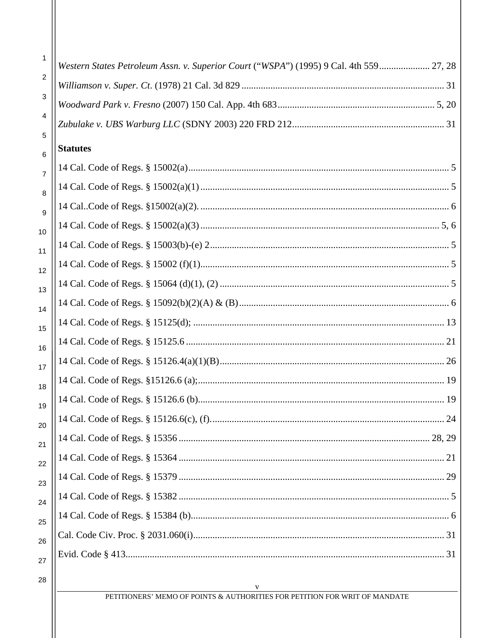| 1              | Western States Petroleum Assn. v. Superior Court ("WSPA") (1995) 9 Cal. 4th 559 27, 28 |
|----------------|----------------------------------------------------------------------------------------|
| 2              |                                                                                        |
| 3              |                                                                                        |
| 4              |                                                                                        |
| 5              |                                                                                        |
| 6              | <b>Statutes</b>                                                                        |
| $\overline{7}$ |                                                                                        |
| 8              |                                                                                        |
| 9              |                                                                                        |
| 10             |                                                                                        |
| 11             |                                                                                        |
| 12             |                                                                                        |
| 13             |                                                                                        |
| 14             |                                                                                        |
| 15             |                                                                                        |
| 16             |                                                                                        |
| 17             |                                                                                        |
| 18             |                                                                                        |
| 19             |                                                                                        |
| 20             |                                                                                        |
| 21             |                                                                                        |
| 22             |                                                                                        |
| 23             |                                                                                        |
| 24             |                                                                                        |
| 25             |                                                                                        |
| 26             |                                                                                        |
| 27             |                                                                                        |
| 28             |                                                                                        |

#### $\mathbf{V}$ PETITIONERS' MEMO OF POINTS & AUTHORITIES FOR PETITION FOR WRIT OF MANDATE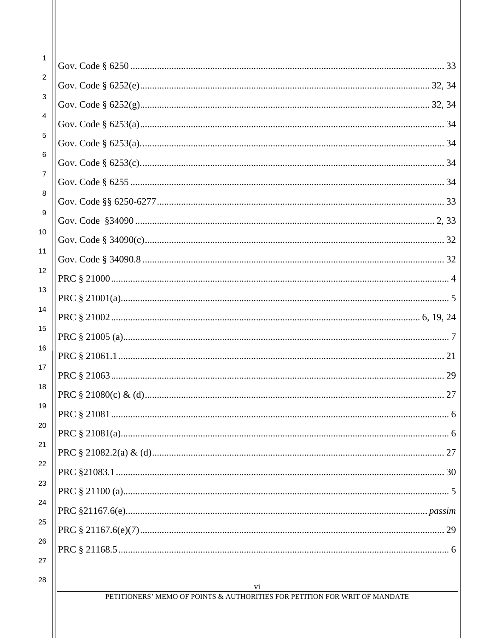| 1              |                                                                                  |
|----------------|----------------------------------------------------------------------------------|
| 2              |                                                                                  |
| 3              |                                                                                  |
| 4              |                                                                                  |
| 5              |                                                                                  |
| 6              |                                                                                  |
| $\overline{7}$ |                                                                                  |
| 8              |                                                                                  |
| 9              |                                                                                  |
| 10             |                                                                                  |
| 11             |                                                                                  |
| 12             |                                                                                  |
| 13             |                                                                                  |
| 14             |                                                                                  |
| 15             |                                                                                  |
| 16             |                                                                                  |
| 17             |                                                                                  |
| 18             |                                                                                  |
| 19             |                                                                                  |
| 20             |                                                                                  |
| 21             |                                                                                  |
| 22             |                                                                                  |
| 23             |                                                                                  |
| 24             |                                                                                  |
| 25             |                                                                                  |
| 26             |                                                                                  |
| 27             |                                                                                  |
| 28             | vi<br>PETITIONERS' MEMO OF POINTS & AUTHORITIES FOR PETITION FOR WRIT OF MANDATE |
|                |                                                                                  |
|                |                                                                                  |
|                |                                                                                  |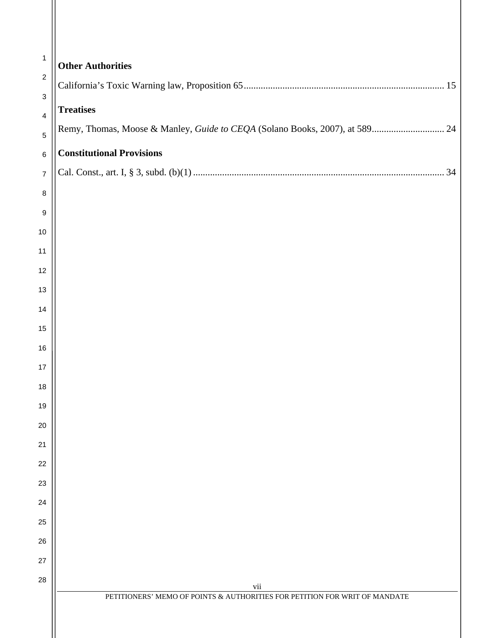| $\mathbf{1}$        | <b>Other Authorities</b>                                                    |
|---------------------|-----------------------------------------------------------------------------|
| $\sqrt{2}$<br>3     | <b>Treatises</b>                                                            |
| $\overline{4}$<br>5 | Remy, Thomas, Moose & Manley, Guide to CEQA (Solano Books, 2007), at 589 24 |
| 6                   | <b>Constitutional Provisions</b>                                            |
| $\boldsymbol{7}$    |                                                                             |
| $\, 8$              |                                                                             |
| 9                   |                                                                             |
| 10                  |                                                                             |
| 11                  |                                                                             |
| 12                  |                                                                             |
| 13                  |                                                                             |
| 14                  |                                                                             |
| 15                  |                                                                             |
| 16                  |                                                                             |
| 17                  |                                                                             |
| 18<br>19            |                                                                             |
| 20                  |                                                                             |
| 21                  |                                                                             |
| 22                  |                                                                             |
| 23                  |                                                                             |
| 24                  |                                                                             |
| 25                  |                                                                             |
| 26                  |                                                                             |
| 27                  |                                                                             |
| 28                  | vii                                                                         |
|                     | PETITIONERS' MEMO OF POINTS & AUTHORITIES FOR PETITION FOR WRIT OF MANDATE  |
|                     |                                                                             |
|                     |                                                                             |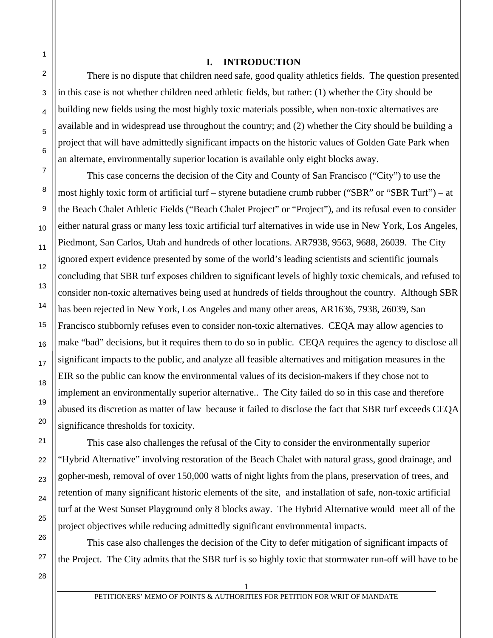1 2

3

4

5

6

7

8

9

10

11

12

13

14

15

16

17

18

19

20

21

22

23

24

25

26

27

#### **I. INTRODUCTION**

 There is no dispute that children need safe, good quality athletics fields. The question presented in this case is not whether children need athletic fields, but rather: (1) whether the City should be building new fields using the most highly toxic materials possible, when non-toxic alternatives are available and in widespread use throughout the country; and (2) whether the City should be building a project that will have admittedly significant impacts on the historic values of Golden Gate Park when an alternate, environmentally superior location is available only eight blocks away.

 This case concerns the decision of the City and County of San Francisco ("City") to use the most highly toxic form of artificial turf – styrene butadiene crumb rubber ("SBR" or "SBR Turf") – at the Beach Chalet Athletic Fields ("Beach Chalet Project" or "Project"), and its refusal even to consider either natural grass or many less toxic artificial turf alternatives in wide use in New York, Los Angeles, Piedmont, San Carlos, Utah and hundreds of other locations. AR7938, 9563, 9688, 26039. The City ignored expert evidence presented by some of the world's leading scientists and scientific journals concluding that SBR turf exposes children to significant levels of highly toxic chemicals, and refused to consider non-toxic alternatives being used at hundreds of fields throughout the country. Although SBR has been rejected in New York, Los Angeles and many other areas, AR1636, 7938, 26039, San Francisco stubbornly refuses even to consider non-toxic alternatives. CEQA may allow agencies to make "bad" decisions, but it requires them to do so in public. CEQA requires the agency to disclose all significant impacts to the public, and analyze all feasible alternatives and mitigation measures in the EIR so the public can know the environmental values of its decision-makers if they chose not to implement an environmentally superior alternative.. The City failed do so in this case and therefore abused its discretion as matter of law because it failed to disclose the fact that SBR turf exceeds CEQA significance thresholds for toxicity.

 This case also challenges the refusal of the City to consider the environmentally superior "Hybrid Alternative" involving restoration of the Beach Chalet with natural grass, good drainage, and gopher-mesh, removal of over 150,000 watts of night lights from the plans, preservation of trees, and retention of many significant historic elements of the site, and installation of safe, non-toxic artificial turf at the West Sunset Playground only 8 blocks away. The Hybrid Alternative would meet all of the project objectives while reducing admittedly significant environmental impacts.

 This case also challenges the decision of the City to defer mitigation of significant impacts of the Project. The City admits that the SBR turf is so highly toxic that stormwater run-off will have to be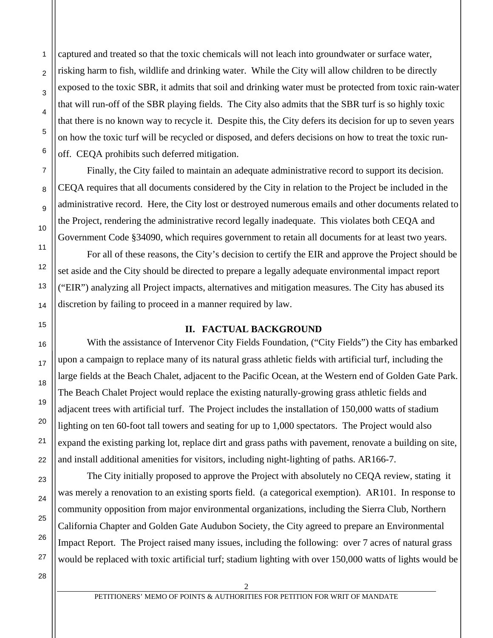captured and treated so that the toxic chemicals will not leach into groundwater or surface water, risking harm to fish, wildlife and drinking water. While the City will allow children to be directly exposed to the toxic SBR, it admits that soil and drinking water must be protected from toxic rain-water that will run-off of the SBR playing fields. The City also admits that the SBR turf is so highly toxic that there is no known way to recycle it. Despite this, the City defers its decision for up to seven years on how the toxic turf will be recycled or disposed, and defers decisions on how to treat the toxic runoff. CEQA prohibits such deferred mitigation.

 Finally, the City failed to maintain an adequate administrative record to support its decision. CEQA requires that all documents considered by the City in relation to the Project be included in the administrative record. Here, the City lost or destroyed numerous emails and other documents related to the Project, rendering the administrative record legally inadequate. This violates both CEQA and Government Code §34090, which requires government to retain all documents for at least two years.

 For all of these reasons, the City's decision to certify the EIR and approve the Project should be set aside and the City should be directed to prepare a legally adequate environmental impact report ("EIR") analyzing all Project impacts, alternatives and mitigation measures. The City has abused its discretion by failing to proceed in a manner required by law.

#### **II. FACTUAL BACKGROUND**

 With the assistance of Intervenor City Fields Foundation, ("City Fields") the City has embarked upon a campaign to replace many of its natural grass athletic fields with artificial turf, including the large fields at the Beach Chalet, adjacent to the Pacific Ocean, at the Western end of Golden Gate Park. The Beach Chalet Project would replace the existing naturally-growing grass athletic fields and adjacent trees with artificial turf. The Project includes the installation of 150,000 watts of stadium lighting on ten 60-foot tall towers and seating for up to 1,000 spectators. The Project would also expand the existing parking lot, replace dirt and grass paths with pavement, renovate a building on site, and install additional amenities for visitors, including night-lighting of paths. AR166-7.

 The City initially proposed to approve the Project with absolutely no CEQA review, stating it was merely a renovation to an existing sports field. (a categorical exemption). AR101. In response to community opposition from major environmental organizations, including the Sierra Club, Northern California Chapter and Golden Gate Audubon Society, the City agreed to prepare an Environmental Impact Report. The Project raised many issues, including the following: over 7 acres of natural grass would be replaced with toxic artificial turf; stadium lighting with over 150,000 watts of lights would be

1

2

3

4

5

6

7

8

PETITIONERS' MEMO OF POINTS & AUTHORITIES FOR PETITION FOR WRIT OF MANDATE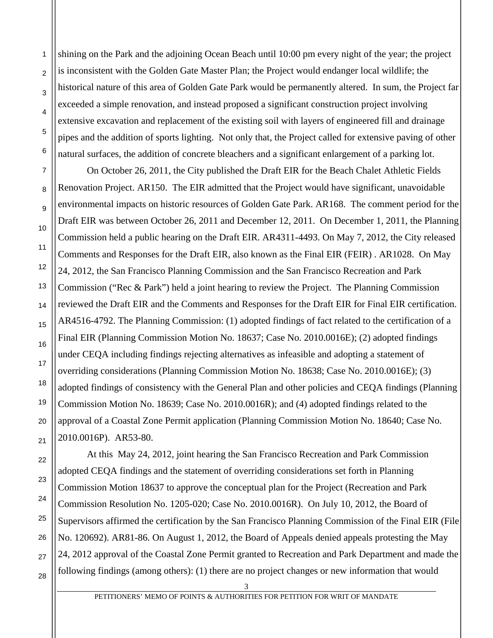shining on the Park and the adjoining Ocean Beach until 10:00 pm every night of the year; the project is inconsistent with the Golden Gate Master Plan; the Project would endanger local wildlife; the historical nature of this area of Golden Gate Park would be permanently altered. In sum, the Project far exceeded a simple renovation, and instead proposed a significant construction project involving extensive excavation and replacement of the existing soil with layers of engineered fill and drainage pipes and the addition of sports lighting. Not only that, the Project called for extensive paving of other natural surfaces, the addition of concrete bleachers and a significant enlargement of a parking lot.

 On October 26, 2011, the City published the Draft EIR for the Beach Chalet Athletic Fields Renovation Project. AR150. The EIR admitted that the Project would have significant, unavoidable environmental impacts on historic resources of Golden Gate Park. AR168. The comment period for the Draft EIR was between October 26, 2011 and December 12, 2011. On December 1, 2011, the Planning Commission held a public hearing on the Draft EIR. AR4311-4493. On May 7, 2012, the City released Comments and Responses for the Draft EIR, also known as the Final EIR (FEIR) . AR1028. On May 24, 2012, the San Francisco Planning Commission and the San Francisco Recreation and Park Commission ("Rec & Park") held a joint hearing to review the Project. The Planning Commission reviewed the Draft EIR and the Comments and Responses for the Draft EIR for Final EIR certification. AR4516-4792. The Planning Commission: (1) adopted findings of fact related to the certification of a Final EIR (Planning Commission Motion No. 18637; Case No. 2010.0016E); (2) adopted findings under CEQA including findings rejecting alternatives as infeasible and adopting a statement of overriding considerations (Planning Commission Motion No. 18638; Case No. 2010.0016E); (3) adopted findings of consistency with the General Plan and other policies and CEQA findings (Planning Commission Motion No. 18639; Case No. 2010.0016R); and (4) adopted findings related to the approval of a Coastal Zone Permit application (Planning Commission Motion No. 18640; Case No. 2010.0016P). AR53-80.

 At this May 24, 2012, joint hearing the San Francisco Recreation and Park Commission adopted CEQA findings and the statement of overriding considerations set forth in Planning Commission Motion 18637 to approve the conceptual plan for the Project (Recreation and Park Commission Resolution No. 1205-020; Case No. 2010.0016R). On July 10, 2012, the Board of Supervisors affirmed the certification by the San Francisco Planning Commission of the Final EIR (File No. 120692). AR81-86. On August 1, 2012, the Board of Appeals denied appeals protesting the May 24, 2012 approval of the Coastal Zone Permit granted to Recreation and Park Department and made the following findings (among others): (1) there are no project changes or new information that would

1

 $\mathfrak{p}$ 

3

4

5

6

7

8

9

10

11

12

13

14

15

16

17

18

19

20

21

22

23

24

25

26

27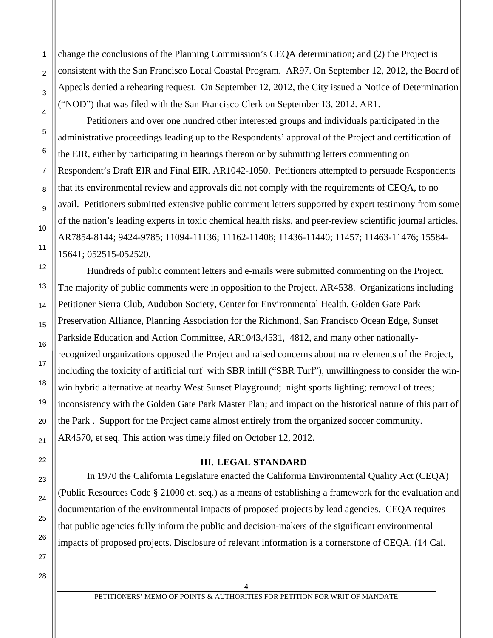change the conclusions of the Planning Commission's CEQA determination; and (2) the Project is consistent with the San Francisco Local Coastal Program. AR97. On September 12, 2012, the Board of Appeals denied a rehearing request. On September 12, 2012, the City issued a Notice of Determination ("NOD") that was filed with the San Francisco Clerk on September 13, 2012. AR1.

 Petitioners and over one hundred other interested groups and individuals participated in the administrative proceedings leading up to the Respondents' approval of the Project and certification of the EIR, either by participating in hearings thereon or by submitting letters commenting on Respondent's Draft EIR and Final EIR. AR1042-1050. Petitioners attempted to persuade Respondents that its environmental review and approvals did not comply with the requirements of CEQA, to no avail. Petitioners submitted extensive public comment letters supported by expert testimony from some of the nation's leading experts in toxic chemical health risks, and peer-review scientific journal articles. AR7854-8144; 9424-9785; 11094-11136; 11162-11408; 11436-11440; 11457; 11463-11476; 15584- 15641; 052515-052520.

 Hundreds of public comment letters and e-mails were submitted commenting on the Project. The majority of public comments were in opposition to the Project. AR4538. Organizations including Petitioner Sierra Club, Audubon Society, Center for Environmental Health, Golden Gate Park Preservation Alliance, Planning Association for the Richmond, San Francisco Ocean Edge, Sunset Parkside Education and Action Committee, AR1043,4531, 4812, and many other nationallyrecognized organizations opposed the Project and raised concerns about many elements of the Project, including the toxicity of artificial turf with SBR infill ("SBR Turf"), unwillingness to consider the winwin hybrid alternative at nearby West Sunset Playground; night sports lighting; removal of trees; inconsistency with the Golden Gate Park Master Plan; and impact on the historical nature of this part of the Park . Support for the Project came almost entirely from the organized soccer community. AR4570, et seq. This action was timely filed on October 12, 2012.

### **III. LEGAL STANDARD**

 In 1970 the California Legislature enacted the California Environmental Quality Act (CEQA) (Public Resources Code § 21000 et. seq.) as a means of establishing a framework for the evaluation and documentation of the environmental impacts of proposed projects by lead agencies. CEQA requires that public agencies fully inform the public and decision-makers of the significant environmental impacts of proposed projects. Disclosure of relevant information is a cornerstone of CEQA. (14 Cal.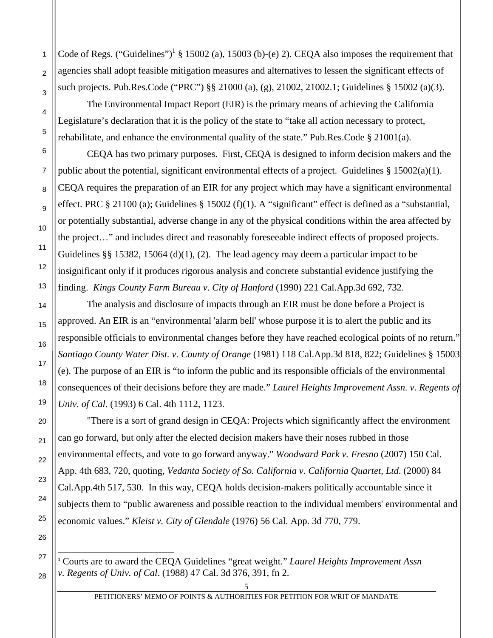Code of Regs. ("Guidelines")<sup>1</sup> § 15002 (a), 15003 (b)-(e) 2). CEQA also imposes the requirement that agencies shall adopt feasible mitigation measures and alternatives to lessen the significant effects of such projects. Pub.Res.Code ("PRC") §§ 21000 (a), (g), 21002, 21002.1; Guidelines § 15002 (a)(3).

1

 $\overline{2}$ 

3

4

5

6

7

8

9

10

11

12

13

14

15

16

17

18

19

20

21

22

23

24

25

26

27

 $\overline{a}$ 

28

 The Environmental Impact Report (EIR) is the primary means of achieving the California Legislature's declaration that it is the policy of the state to "take all action necessary to protect, rehabilitate, and enhance the environmental quality of the state." Pub.Res.Code § 21001(a).

 CEQA has two primary purposes. First, CEQA is designed to inform decision makers and the public about the potential, significant environmental effects of a project. Guidelines  $\S 15002(a)(1)$ . CEQA requires the preparation of an EIR for any project which may have a significant environmental effect. PRC § 21100 (a); Guidelines § 15002 (f)(1). A "significant" effect is defined as a "substantial, or potentially substantial, adverse change in any of the physical conditions within the area affected by the project…" and includes direct and reasonably foreseeable indirect effects of proposed projects. Guidelines §§ 15382, 15064 (d)(1), (2). The lead agency may deem a particular impact to be insignificant only if it produces rigorous analysis and concrete substantial evidence justifying the finding. *Kings County Farm Bureau v. City of Hanford* (1990) 221 Cal.App.3d 692, 732.

 The analysis and disclosure of impacts through an EIR must be done before a Project is approved. An EIR is an "environmental 'alarm bell' whose purpose it is to alert the public and its responsible officials to environmental changes before they have reached ecological points of no return." *Santiago County Water Dist. v. County of Orange* (1981) 118 Cal.App.3d 818, 822; Guidelines § 15003 (e). The purpose of an EIR is "to inform the public and its responsible officials of the environmental consequences of their decisions before they are made." *Laurel Heights Improvement Assn. v. Regents of Univ. of Cal.* (1993) 6 Cal. 4th 1112, 1123.

 "There is a sort of grand design in CEQA: Projects which significantly affect the environment can go forward, but only after the elected decision makers have their noses rubbed in those environmental effects, and vote to go forward anyway." *Woodward Park v. Fresno* (2007) 150 Cal. App. 4th 683, 720, quoting, *Vedanta Society of So. California v. California Quartet, Ltd*. (2000) 84 Cal.App.4th 517, 530. In this way, CEQA holds decision-makers politically accountable since it subjects them to "public awareness and possible reaction to the individual members' environmental and economic values." *Kleist v. City of Glendale* (1976) 56 Cal. App. 3d 770, 779.

<sup>1</sup> Courts are to award the CEQA Guidelines "great weight." *Laurel Heights Improvement Assn v. Regents of Univ. of Cal*. (1988) 47 Cal. 3d 376, 391, fn 2.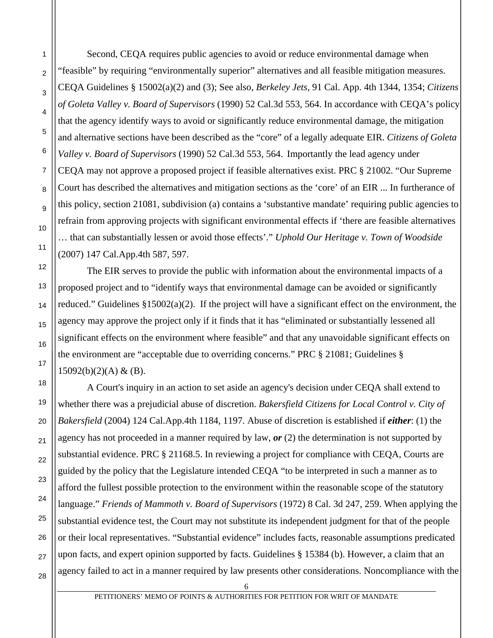Second, CEQA requires public agencies to avoid or reduce environmental damage when "feasible" by requiring "environmentally superior" alternatives and all feasible mitigation measures. CEQA Guidelines § 15002(a)(2) and (3); See also, *Berkeley Jets*, 91 Cal. App. 4th 1344, 1354; *Citizens of Goleta Valley v. Board of Supervisors* (1990) 52 Cal.3d 553, 564. In accordance with CEQA's policy that the agency identify ways to avoid or significantly reduce environmental damage, the mitigation and alternative sections have been described as the "core" of a legally adequate EIR. *Citizens of Goleta Valley v. Board of Supervisors* (1990) 52 Cal.3d 553, 564. Importantly the lead agency under CEQA may not approve a proposed project if feasible alternatives exist. PRC § 21002. "Our Supreme Court has described the alternatives and mitigation sections as the 'core' of an EIR ... In furtherance of this policy, section 21081, subdivision (a) contains a 'substantive mandate' requiring public agencies to refrain from approving projects with significant environmental effects if 'there are feasible alternatives … that can substantially lessen or avoid those effects'." *Uphold Our Heritage v. Town of Woodside* (2007) 147 Cal.App.4th 587, 597.

 The EIR serves to provide the public with information about the environmental impacts of a proposed project and to "identify ways that environmental damage can be avoided or significantly reduced." Guidelines §15002(a)(2). If the project will have a significant effect on the environment, the agency may approve the project only if it finds that it has "eliminated or substantially lessened all significant effects on the environment where feasible" and that any unavoidable significant effects on the environment are "acceptable due to overriding concerns." PRC § 21081; Guidelines §  $15092(b)(2)(A) & (B).$ 

 A Court's inquiry in an action to set aside an agency's decision under CEQA shall extend to whether there was a prejudicial abuse of discretion. *Bakersfield Citizens for Local Control v. City of Bakersfield* (2004) 124 Cal.App.4th 1184, 1197. Abuse of discretion is established if *either*: (1) the agency has not proceeded in a manner required by law, *or* (2) the determination is not supported by substantial evidence. PRC § 21168.5. In reviewing a project for compliance with CEQA, Courts are guided by the policy that the Legislature intended CEQA "to be interpreted in such a manner as to afford the fullest possible protection to the environment within the reasonable scope of the statutory language." *Friends of Mammoth v. Board of Supervisors* (1972) 8 Cal. 3d 247, 259. When applying the substantial evidence test, the Court may not substitute its independent judgment for that of the people or their local representatives. "Substantial evidence" includes facts, reasonable assumptions predicated upon facts, and expert opinion supported by facts. Guidelines § 15384 (b). However, a claim that an agency failed to act in a manner required by law presents other considerations. Noncompliance with the

25

26

27

28

1

2

PETITIONERS' MEMO OF POINTS & AUTHORITIES FOR PETITION FOR WRIT OF MANDATE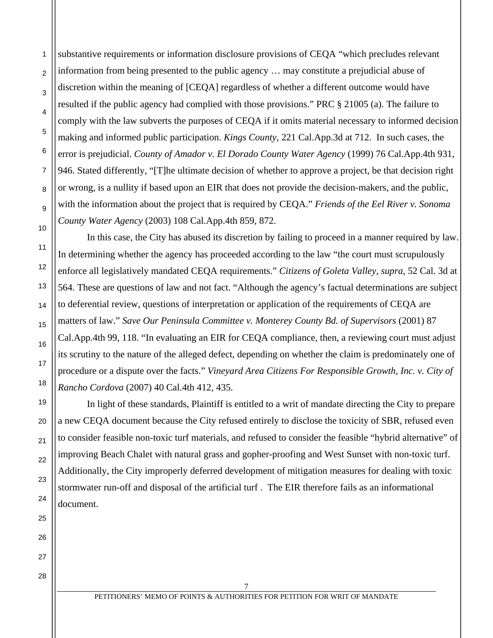substantive requirements or information disclosure provisions of CEQA "which precludes relevant information from being presented to the public agency … may constitute a prejudicial abuse of discretion within the meaning of [CEQA] regardless of whether a different outcome would have resulted if the public agency had complied with those provisions." PRC § 21005 (a). The failure to comply with the law subverts the purposes of CEQA if it omits material necessary to informed decision making and informed public participation. *Kings County*, 221 Cal.App.3d at 712. In such cases, the error is prejudicial. *County of Amador v. El Dorado County Water Agency* (1999) 76 Cal.App.4th 931, 946. Stated differently, "[T]he ultimate decision of whether to approve a project, be that decision right or wrong, is a nullity if based upon an EIR that does not provide the decision-makers, and the public, with the information about the project that is required by CEQA." *Friends of the Eel River v. Sonoma County Water Agency* (2003) 108 Cal.App.4th 859, 872.

1

2

3

4

5

6

7

8

9

10

11

12

13

14

15

16

17

18

19

20

21

22

23

24

25

26

27

28

 In this case, the City has abused its discretion by failing to proceed in a manner required by law. In determining whether the agency has proceeded according to the law "the court must scrupulously enforce all legislatively mandated CEQA requirements." *Citizens of Goleta Valley, supra*, 52 Cal. 3d at 564. These are questions of law and not fact. "Although the agency's factual determinations are subject to deferential review, questions of interpretation or application of the requirements of CEQA are matters of law." *Save Our Peninsula Committee v. Monterey County Bd. of Supervisors* (2001) 87 Cal.App.4th 99, 118. "In evaluating an EIR for CEQA compliance, then, a reviewing court must adjust its scrutiny to the nature of the alleged defect, depending on whether the claim is predominately one of procedure or a dispute over the facts." *Vineyard Area Citizens For Responsible Growth, Inc. v. City of Rancho Cordova* (2007) 40 Cal.4th 412, 435.

 In light of these standards, Plaintiff is entitled to a writ of mandate directing the City to prepare a new CEQA document because the City refused entirely to disclose the toxicity of SBR, refused even to consider feasible non-toxic turf materials, and refused to consider the feasible "hybrid alternative" of improving Beach Chalet with natural grass and gopher-proofing and West Sunset with non-toxic turf. Additionally, the City improperly deferred development of mitigation measures for dealing with toxic stormwater run-off and disposal of the artificial turf . The EIR therefore fails as an informational document.

7 PETITIONERS' MEMO OF POINTS & AUTHORITIES FOR PETITION FOR WRIT OF MANDATE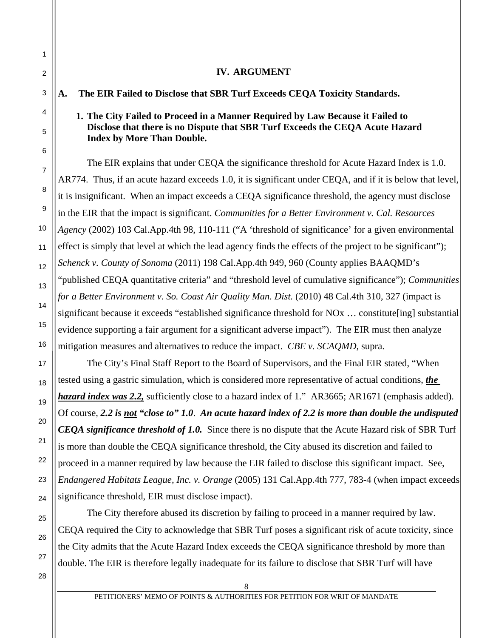### **IV. ARGUMENT**

**A. The EIR Failed to Disclose that SBR Turf Exceeds CEQA Toxicity Standards.** 

## **1. The City Failed to Proceed in a Manner Required by Law Because it Failed to Disclose that there is no Dispute that SBR Turf Exceeds the CEQA Acute Hazard Index by More Than Double.**

 The EIR explains that under CEQA the significance threshold for Acute Hazard Index is 1.0. AR774. Thus, if an acute hazard exceeds 1.0, it is significant under CEQA, and if it is below that level, it is insignificant. When an impact exceeds a CEQA significance threshold, the agency must disclose in the EIR that the impact is significant. *Communities for a Better Environment v. Cal. Resources Agency* (2002) 103 Cal.App.4th 98, 110-111 ("A 'threshold of significance' for a given environmental effect is simply that level at which the lead agency finds the effects of the project to be significant"); *Schenck v. County of Sonoma* (2011) 198 Cal.App.4th 949, 960 (County applies BAAQMD's "published CEQA quantitative criteria" and "threshold level of cumulative significance"); *Communities for a Better Environment v. So. Coast Air Quality Man. Dist.* (2010) 48 Cal.4th 310, 327 (impact is significant because it exceeds "established significance threshold for NO<sub>x</sub> ... constitute [ing] substantial evidence supporting a fair argument for a significant adverse impact"). The EIR must then analyze mitigation measures and alternatives to reduce the impact. *CBE v. SCAQMD*, supra.

 The City's Final Staff Report to the Board of Supervisors, and the Final EIR stated, "When tested using a gastric simulation, which is considered more representative of actual conditions, *the hazard index was 2.2,* sufficiently close to a hazard index of 1." AR3665; AR1671 (emphasis added). Of course, *2.2 is not "close to" 1.0*. *An acute hazard index of 2.2 is more than double the undisputed CEQA significance threshold of 1.0.* Since there is no dispute that the Acute Hazard risk of SBR Turf is more than double the CEQA significance threshold, the City abused its discretion and failed to proceed in a manner required by law because the EIR failed to disclose this significant impact. See, *Endangered Habitats League, Inc. v. Orange* (2005) 131 Cal.App.4th 777, 783-4 (when impact exceeds significance threshold, EIR must disclose impact).

 The City therefore abused its discretion by failing to proceed in a manner required by law. CEQA required the City to acknowledge that SBR Turf poses a significant risk of acute toxicity, since the City admits that the Acute Hazard Index exceeds the CEQA significance threshold by more than double. The EIR is therefore legally inadequate for its failure to disclose that SBR Turf will have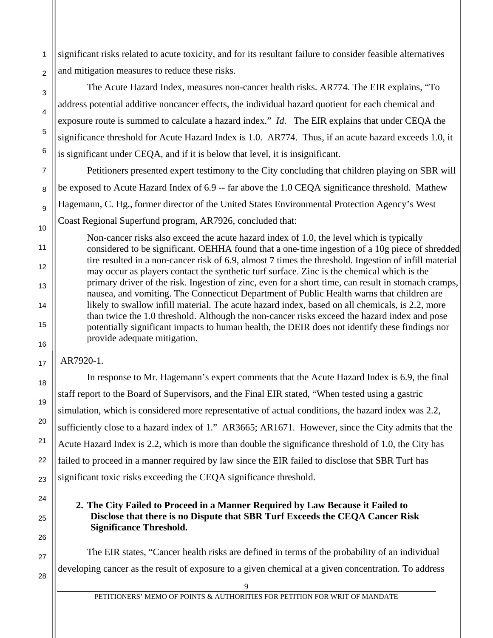significant risks related to acute toxicity, and for its resultant failure to consider feasible alternatives and mitigation measures to reduce these risks.

 The Acute Hazard Index, measures non-cancer health risks. AR774. The EIR explains, "To address potential additive noncancer effects, the individual hazard quotient for each chemical and exposure route is summed to calculate a hazard index." *Id*. The EIR explains that under CEQA the significance threshold for Acute Hazard Index is 1.0. AR774. Thus, if an acute hazard exceeds 1.0, it is significant under CEQA, and if it is below that level, it is insignificant.

 Petitioners presented expert testimony to the City concluding that children playing on SBR will be exposed to Acute Hazard Index of 6.9 -- far above the 1.0 CEQA significance threshold. Mathew Hagemann, C. Hg., former director of the United States Environmental Protection Agency's West Coast Regional Superfund program, AR7926, concluded that:

Non-cancer risks also exceed the acute hazard index of 1.0, the level which is typically considered to be significant. OEHHA found that a one‐time ingestion of a 10g piece of shredded tire resulted in a non‐cancer risk of 6.9, almost 7 times the threshold. Ingestion of infill material may occur as players contact the synthetic turf surface. Zinc is the chemical which is the primary driver of the risk. Ingestion of zinc, even for a short time, can result in stomach cramps, nausea, and vomiting. The Connecticut Department of Public Health warns that children are likely to swallow infill material. The acute hazard index, based on all chemicals, is 2.2, more than twice the 1.0 threshold. Although the non‐cancer risks exceed the hazard index and pose potentially significant impacts to human health, the DEIR does not identify these findings nor provide adequate mitigation.

AR7920-1.

1

 $\overline{2}$ 

3

4

5

6

7

8

9

10

11

12

13

14

15

16

17

18

19

20

21

22

23

24

25

26

27

28

 In response to Mr. Hagemann's expert comments that the Acute Hazard Index is 6.9, the final staff report to the Board of Supervisors, and the Final EIR stated, "When tested using a gastric simulation, which is considered more representative of actual conditions, the hazard index was 2.2, sufficiently close to a hazard index of 1." AR3665; AR1671. However, since the City admits that the Acute Hazard Index is 2.2, which is more than double the significance threshold of 1.0, the City has failed to proceed in a manner required by law since the EIR failed to disclose that SBR Turf has significant toxic risks exceeding the CEQA significance threshold.

## **2. The City Failed to Proceed in a Manner Required by Law Because it Failed to Disclose that there is no Dispute that SBR Turf Exceeds the CEQA Cancer Risk Significance Threshold.**

 The EIR states, "Cancer health risks are defined in terms of the probability of an individual developing cancer as the result of exposure to a given chemical at a given concentration. To address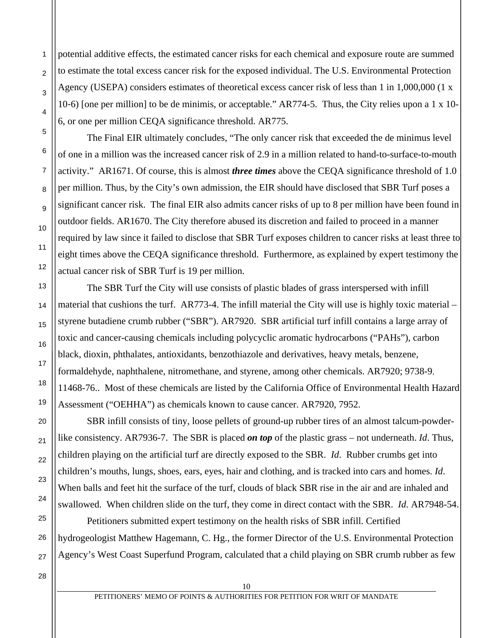potential additive effects, the estimated cancer risks for each chemical and exposure route are summed to estimate the total excess cancer risk for the exposed individual. The U.S. Environmental Protection Agency (USEPA) considers estimates of theoretical excess cancer risk of less than 1 in 1,000,000 (1 x 10‐6) [one per million] to be de minimis, or acceptable." AR774-5. Thus, the City relies upon a 1 x 10- 6, or one per million CEQA significance threshold. AR775.

 The Final EIR ultimately concludes, "The only cancer risk that exceeded the de minimus level of one in a million was the increased cancer risk of 2.9 in a million related to hand-to-surface-to-mouth activity." AR1671. Of course, this is almost *three times* above the CEQA significance threshold of 1.0 per million. Thus, by the City's own admission, the EIR should have disclosed that SBR Turf poses a significant cancer risk. The final EIR also admits cancer risks of up to 8 per million have been found in outdoor fields. AR1670. The City therefore abused its discretion and failed to proceed in a manner required by law since it failed to disclose that SBR Turf exposes children to cancer risks at least three to eight times above the CEQA significance threshold. Furthermore, as explained by expert testimony the actual cancer risk of SBR Turf is 19 per million.

 The SBR Turf the City will use consists of plastic blades of grass interspersed with infill material that cushions the turf. AR773-4. The infill material the City will use is highly toxic material – styrene butadiene crumb rubber ("SBR"). AR7920. SBR artificial turf infill contains a large array of toxic and cancer-causing chemicals including polycyclic aromatic hydrocarbons ("PAHs"), carbon black, dioxin, phthalates, antioxidants, benzothiazole and derivatives, heavy metals, benzene, formaldehyde, naphthalene, nitromethane, and styrene, among other chemicals. AR7920; 9738-9, 11468-76.. Most of these chemicals are listed by the California Office of Environmental Health Hazard Assessment ("OEHHA") as chemicals known to cause cancer. AR7920, 7952.

 SBR infill consists of tiny, loose pellets of ground-up rubber tires of an almost talcum-powderlike consistency. AR7936-7. The SBR is placed *on top* of the plastic grass – not underneath. *Id*. Thus, children playing on the artificial turf are directly exposed to the SBR. *Id*. Rubber crumbs get into children's mouths, lungs, shoes, ears, eyes, hair and clothing, and is tracked into cars and homes. *Id*. When balls and feet hit the surface of the turf, clouds of black SBR rise in the air and are inhaled and swallowed. When children slide on the turf, they come in direct contact with the SBR. *Id*. AR7948-54.

 Petitioners submitted expert testimony on the health risks of SBR infill. Certified hydrogeologist Matthew Hagemann, C. Hg., the former Director of the U.S. Environmental Protection Agency's West Coast Superfund Program, calculated that a child playing on SBR crumb rubber as few

28

1

2

3

4

5

6

7

8

9

10

11

12

13

14

15

16

17

18

19

20

21

22

23

24

25

26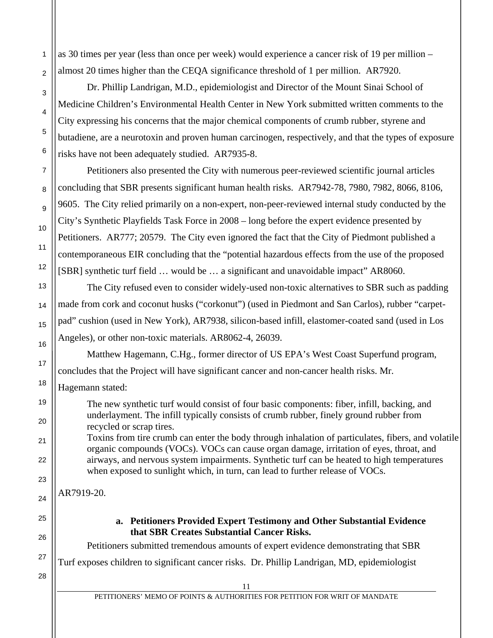as 30 times per year (less than once per week) would experience a cancer risk of 19 per million – almost 20 times higher than the CEQA significance threshold of 1 per million. AR7920.

 Dr. Phillip Landrigan, M.D., epidemiologist and Director of the Mount Sinai School of Medicine Children's Environmental Health Center in New York submitted written comments to the City expressing his concerns that the major chemical components of crumb rubber, styrene and butadiene, are a neurotoxin and proven human carcinogen, respectively, and that the types of exposure risks have not been adequately studied. AR7935-8.

 Petitioners also presented the City with numerous peer-reviewed scientific journal articles concluding that SBR presents significant human health risks. AR7942-78, 7980, 7982, 8066, 8106, 9605. The City relied primarily on a non-expert, non-peer-reviewed internal study conducted by the City's Synthetic Playfields Task Force in 2008 – long before the expert evidence presented by Petitioners. AR777; 20579. The City even ignored the fact that the City of Piedmont published a contemporaneous EIR concluding that the "potential hazardous effects from the use of the proposed [SBR] synthetic turf field … would be … a significant and unavoidable impact" AR8060.

 The City refused even to consider widely-used non-toxic alternatives to SBR such as padding made from cork and coconut husks ("corkonut") (used in Piedmont and San Carlos), rubber "carpetpad" cushion (used in New York), AR7938, silicon-based infill, elastomer-coated sand (used in Los Angeles), or other non-toxic materials. AR8062-4, 26039.

Matthew Hagemann, C.Hg., former director of US EPA's West Coast Superfund program,

concludes that the Project will have significant cancer and non-cancer health risks. Mr.

Hagemann stated:

1

 $\mathfrak{p}$ 

3

4

5

6

7

8

9

10

11

12

13

14

15

16

17

18

19

20

21

22

23

24

25

26

27

28

The new synthetic turf would consist of four basic components: fiber, infill, backing, and underlayment. The infill typically consists of crumb rubber, finely ground rubber from recycled or scrap tires.

Toxins from tire crumb can enter the body through inhalation of particulates, fibers, and volatile organic compounds (VOCs). VOCs can cause organ damage, irritation of eyes, throat, and airways, and nervous system impairments. Synthetic turf can be heated to high temperatures when exposed to sunlight which, in turn, can lead to further release of VOCs.

AR7919-20.

**a. Petitioners Provided Expert Testimony and Other Substantial Evidence that SBR Creates Substantial Cancer Risks.** 

Petitioners submitted tremendous amounts of expert evidence demonstrating that SBR

Turf exposes children to significant cancer risks. Dr. Phillip Landrigan, MD, epidemiologist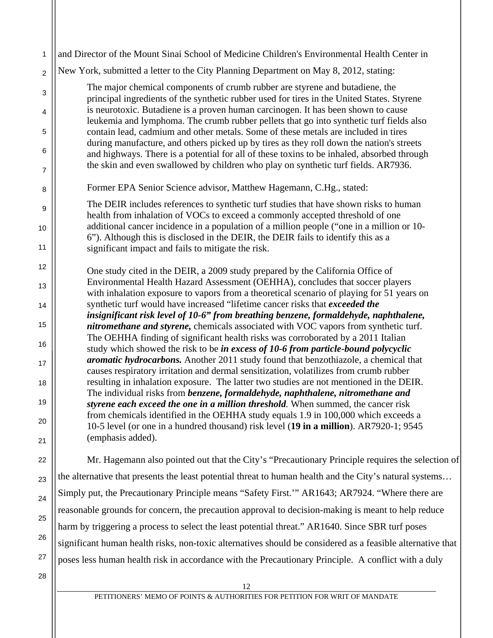| 1                   | and Director of the Mount Sinai School of Medicine Children's Environmental Health Center in                                                                                                                                                                              |
|---------------------|---------------------------------------------------------------------------------------------------------------------------------------------------------------------------------------------------------------------------------------------------------------------------|
| $\overline{2}$      | New York, submitted a letter to the City Planning Department on May 8, 2012, stating:                                                                                                                                                                                     |
| 3                   | The major chemical components of crumb rubber are styrene and butadiene, the<br>principal ingredients of the synthetic rubber used for tires in the United States. Styrene                                                                                                |
| 4                   | is neurotoxic. Butadiene is a proven human carcinogen. It has been shown to cause                                                                                                                                                                                         |
| 5                   | leukemia and lymphoma. The crumb rubber pellets that go into synthetic turf fields also<br>contain lead, cadmium and other metals. Some of these metals are included in tires<br>during manufacture, and others picked up by tires as they roll down the nation's streets |
| 6<br>$\overline{7}$ | and highways. There is a potential for all of these toxins to be inhaled, absorbed through<br>the skin and even swallowed by children who play on synthetic turf fields. AR7936.                                                                                          |
|                     | Former EPA Senior Science advisor, Matthew Hagemann, C.Hg., stated:                                                                                                                                                                                                       |
| 8                   |                                                                                                                                                                                                                                                                           |
| 9<br>10             | The DEIR includes references to synthetic turf studies that have shown risks to human<br>health from inhalation of VOCs to exceed a commonly accepted threshold of one<br>additional cancer incidence in a population of a million people ("one in a million or 10-       |
| 11                  | 6"). Although this is disclosed in the DEIR, the DEIR fails to identify this as a<br>significant impact and fails to mitigate the risk.                                                                                                                                   |
| 12                  | One study cited in the DEIR, a 2009 study prepared by the California Office of                                                                                                                                                                                            |
| 13                  | Environmental Health Hazard Assessment (OEHHA), concludes that soccer players<br>with inhalation exposure to vapors from a theoretical scenario of playing for 51 years on                                                                                                |
| 14                  | synthetic turf would have increased "lifetime cancer risks that exceeded the<br>insignificant risk level of 10-6" from breathing benzene, formaldehyde, naphthalene,                                                                                                      |
| 15                  | nitromethane and styrene, chemicals associated with VOC vapors from synthetic turf.                                                                                                                                                                                       |
| 16                  | The OEHHA finding of significant health risks was corroborated by a 2011 Italian<br>study which showed the risk to be in excess of 10-6 from particle-bound polycyclic                                                                                                    |
| 17                  | aromatic hydrocarbons. Another 2011 study found that benzothiazole, a chemical that<br>causes respiratory irritation and dermal sensitization, volatilizes from crumb rubber                                                                                              |
| 18                  | resulting in inhalation exposure. The latter two studies are not mentioned in the DEIR.                                                                                                                                                                                   |
| 19                  | The individual risks from benzene, formaldehyde, naphthalene, nitromethane and<br>styrene each exceed the one in a million threshold. When summed, the cancer risk                                                                                                        |
| 20                  | from chemicals identified in the OEHHA study equals 1.9 in 100,000 which exceeds a<br>10-5 level (or one in a hundred thousand) risk level (19 in a million). AR7920-1; 9545                                                                                              |
| 21                  | (emphasis added).                                                                                                                                                                                                                                                         |
| 22                  | Mr. Hagemann also pointed out that the City's "Precautionary Principle requires the selection of                                                                                                                                                                          |
| 23                  | the alternative that presents the least potential threat to human health and the City's natural systems                                                                                                                                                                   |
| 24                  | Simply put, the Precautionary Principle means "Safety First." AR1643; AR7924. "Where there are                                                                                                                                                                            |
| 25                  | reasonable grounds for concern, the precaution approval to decision-making is meant to help reduce                                                                                                                                                                        |
|                     | harm by triggering a process to select the least potential threat." AR1640. Since SBR turf poses                                                                                                                                                                          |
| 26                  | significant human health risks, non-toxic alternatives should be considered as a feasible alternative that                                                                                                                                                                |
| 27                  | poses less human health risk in accordance with the Precautionary Principle. A conflict with a duly                                                                                                                                                                       |
| 28                  | 12                                                                                                                                                                                                                                                                        |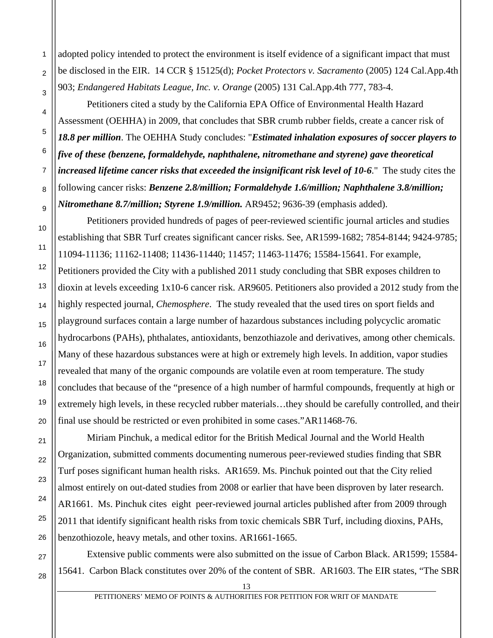adopted policy intended to protect the environment is itself evidence of a significant impact that must be disclosed in the EIR. 14 CCR § 15125(d); *Pocket Protectors v. Sacramento* (2005) 124 Cal.App.4th 903; *Endangered Habitats League, Inc. v. Orange* (2005) 131 Cal.App.4th 777, 783-4.

 Petitioners cited a study by the California EPA Office of Environmental Health Hazard Assessment (OEHHA) in 2009, that concludes that SBR crumb rubber fields, create a cancer risk of *18.8 per million*. The OEHHA Study concludes: "*Estimated inhalation exposures of soccer players to five of these (benzene, formaldehyde, naphthalene, nitromethane and styrene) gave theoretical increased lifetime cancer risks that exceeded the insignificant risk level of 10-6*." The study cites the following cancer risks: *Benzene 2.8/million; Formaldehyde 1.6/million; Naphthalene 3.8/million; Nitromethane 8.7/million; Styrene 1.9/million.* AR9452; 9636-39 (emphasis added).

 Petitioners provided hundreds of pages of peer-reviewed scientific journal articles and studies establishing that SBR Turf creates significant cancer risks. See, AR1599-1682; 7854-8144; 9424-9785; 11094-11136; 11162-11408; 11436-11440; 11457; 11463-11476; 15584-15641. For example, Petitioners provided the City with a published 2011 study concluding that SBR exposes children to dioxin at levels exceeding 1x10-6 cancer risk. AR9605. Petitioners also provided a 2012 study from the highly respected journal, *Chemosphere*. The study revealed that the used tires on sport fields and playground surfaces contain a large number of hazardous substances including polycyclic aromatic hydrocarbons (PAHs), phthalates, antioxidants, benzothiazole and derivatives, among other chemicals. Many of these hazardous substances were at high or extremely high levels. In addition, vapor studies revealed that many of the organic compounds are volatile even at room temperature. The study concludes that because of the "presence of a high number of harmful compounds, frequently at high or extremely high levels, in these recycled rubber materials…they should be carefully controlled, and their final use should be restricted or even prohibited in some cases."AR11468-76.

 Miriam Pinchuk, a medical editor for the British Medical Journal and the World Health Organization, submitted comments documenting numerous peer-reviewed studies finding that SBR Turf poses significant human health risks. AR1659. Ms. Pinchuk pointed out that the City relied almost entirely on out-dated studies from 2008 or earlier that have been disproven by later research. AR1661. Ms. Pinchuk cites eight peer-reviewed journal articles published after from 2009 through 2011 that identify significant health risks from toxic chemicals SBR Turf, including dioxins, PAHs, benzothiozole, heavy metals, and other toxins. AR1661-1665.

 Extensive public comments were also submitted on the issue of Carbon Black. AR1599; 15584- 15641. Carbon Black constitutes over 20% of the content of SBR. AR1603. The EIR states, "The SBR

1

 $\mathfrak{p}$ 

3

4

5

6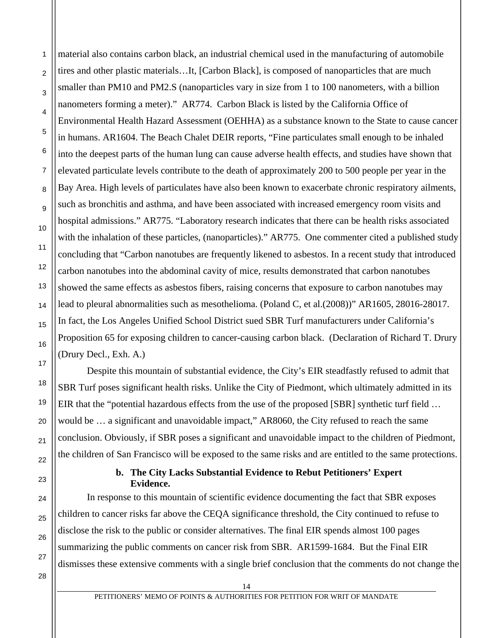12 material also contains carbon black, an industrial chemical used in the manufacturing of automobile tires and other plastic materials…It, [Carbon Black], is composed of nanoparticles that are much smaller than PM10 and PM2.S (nanoparticles vary in size from 1 to 100 nanometers, with a billion nanometers forming a meter)." AR774. Carbon Black is listed by the California Office of Environmental Health Hazard Assessment (OEHHA) as a substance known to the State to cause cancer in humans. AR1604. The Beach Chalet DEIR reports, "Fine particulates small enough to be inhaled into the deepest parts of the human lung can cause adverse health effects, and studies have shown that elevated particulate levels contribute to the death of approximately 200 to 500 people per year in the Bay Area. High levels of particulates have also been known to exacerbate chronic respiratory ailments, such as bronchitis and asthma, and have been associated with increased emergency room visits and hospital admissions." AR775. "Laboratory research indicates that there can be health risks associated with the inhalation of these particles, (nanoparticles)." AR775. One commenter cited a published study concluding that "Carbon nanotubes are frequently likened to asbestos. In a recent study that introduced carbon nanotubes into the abdominal cavity of mice, results demonstrated that carbon nanotubes showed the same effects as asbestos fibers, raising concerns that exposure to carbon nanotubes may lead to pleural abnormalities such as mesothelioma. (Poland C, et al.(2008))" AR1605, 28016-28017. In fact, the Los Angeles Unified School District sued SBR Turf manufacturers under California's Proposition 65 for exposing children to cancer-causing carbon black. (Declaration of Richard T. Drury (Drury Decl., Exh. A.)

 Despite this mountain of substantial evidence, the City's EIR steadfastly refused to admit that SBR Turf poses significant health risks. Unlike the City of Piedmont, which ultimately admitted in its EIR that the "potential hazardous effects from the use of the proposed [SBR] synthetic turf field … would be … a significant and unavoidable impact," AR8060, the City refused to reach the same conclusion. Obviously, if SBR poses a significant and unavoidable impact to the children of Piedmont, the children of San Francisco will be exposed to the same risks and are entitled to the same protections.

#### **b. The City Lacks Substantial Evidence to Rebut Petitioners' Expert Evidence.**

 In response to this mountain of scientific evidence documenting the fact that SBR exposes children to cancer risks far above the CEQA significance threshold, the City continued to refuse to disclose the risk to the public or consider alternatives. The final EIR spends almost 100 pages summarizing the public comments on cancer risk from SBR. AR1599-1684. But the Final EIR dismisses these extensive comments with a single brief conclusion that the comments do not change the

28

1

2

3

4

5

6

7

8

9

10

11

13

14

15

16

17

18

19

20

21

22

23

24

25

PETITIONERS' MEMO OF POINTS & AUTHORITIES FOR PETITION FOR WRIT OF MANDATE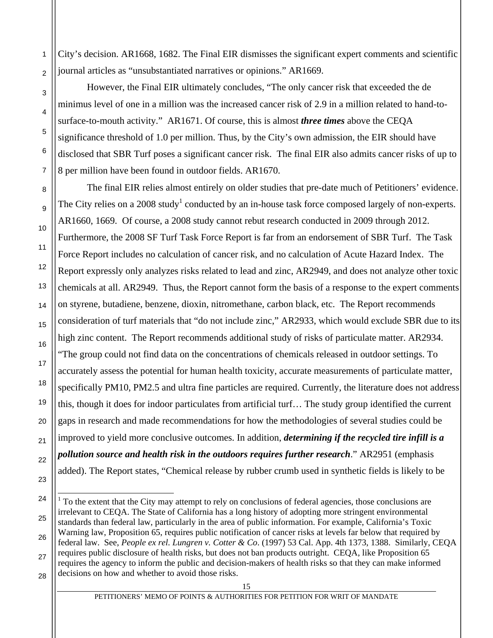1  $\overline{2}$ City's decision. AR1668, 1682. The Final EIR dismisses the significant expert comments and scientific journal articles as "unsubstantiated narratives or opinions." AR1669.

 However, the Final EIR ultimately concludes, "The only cancer risk that exceeded the de minimus level of one in a million was the increased cancer risk of 2.9 in a million related to hand-tosurface-to-mouth activity." AR1671. Of course, this is almost *three times* above the CEQA significance threshold of 1.0 per million. Thus, by the City's own admission, the EIR should have disclosed that SBR Turf poses a significant cancer risk. The final EIR also admits cancer risks of up to 8 per million have been found in outdoor fields. AR1670.

 The final EIR relies almost entirely on older studies that pre-date much of Petitioners' evidence. The City relies on a 2008 study<sup>1</sup> conducted by an in-house task force composed largely of non-experts. AR1660, 1669. Of course, a 2008 study cannot rebut research conducted in 2009 through 2012. Furthermore, the 2008 SF Turf Task Force Report is far from an endorsement of SBR Turf. The Task Force Report includes no calculation of cancer risk, and no calculation of Acute Hazard Index. The Report expressly only analyzes risks related to lead and zinc, AR2949, and does not analyze other toxic chemicals at all. AR2949. Thus, the Report cannot form the basis of a response to the expert comments on styrene, butadiene, benzene, dioxin, nitromethane, carbon black, etc. The Report recommends consideration of turf materials that "do not include zinc," AR2933, which would exclude SBR due to its high zinc content. The Report recommends additional study of risks of particulate matter. AR2934. "The group could not find data on the concentrations of chemicals released in outdoor settings. To accurately assess the potential for human health toxicity, accurate measurements of particulate matter, specifically PM10, PM2.5 and ultra fine particles are required. Currently, the literature does not address this, though it does for indoor particulates from artificial turf… The study group identified the current gaps in research and made recommendations for how the methodologies of several studies could be improved to yield more conclusive outcomes. In addition, *determining if the recycled tire infill is a pollution source and health risk in the outdoors requires further research*." AR2951 (emphasis added). The Report states, "Chemical release by rubber crumb used in synthetic fields is likely to be

 $\overline{a}$ 

3

<sup>28</sup>  $1$  To the extent that the City may attempt to rely on conclusions of federal agencies, those conclusions are irrelevant to CEQA. The State of California has a long history of adopting more stringent environmental standards than federal law, particularly in the area of public information. For example, California's Toxic Warning law, Proposition 65, requires public notification of cancer risks at levels far below that required by federal law. See, *People ex rel. Lungren v. Cotter & Co*. (1997) 53 Cal. App. 4th 1373, 1388. Similarly, CEQA requires public disclosure of health risks, but does not ban products outright. CEQA, like Proposition 65 requires the agency to inform the public and decision-makers of health risks so that they can make informed decisions on how and whether to avoid those risks.

PETITIONERS' MEMO OF POINTS & AUTHORITIES FOR PETITION FOR WRIT OF MANDATE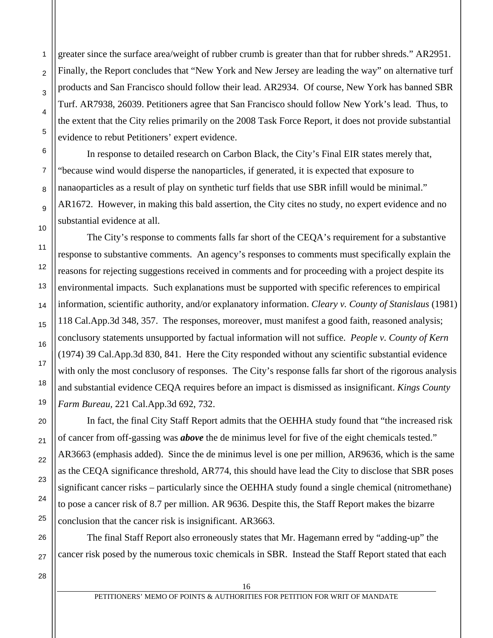greater since the surface area/weight of rubber crumb is greater than that for rubber shreds." AR2951. Finally, the Report concludes that "New York and New Jersey are leading the way" on alternative turf products and San Francisco should follow their lead. AR2934. Of course, New York has banned SBR Turf. AR7938, 26039. Petitioners agree that San Francisco should follow New York's lead. Thus, to the extent that the City relies primarily on the 2008 Task Force Report, it does not provide substantial evidence to rebut Petitioners' expert evidence.

 In response to detailed research on Carbon Black, the City's Final EIR states merely that, "because wind would disperse the nanoparticles, if generated, it is expected that exposure to nanaoparticles as a result of play on synthetic turf fields that use SBR infill would be minimal." AR1672. However, in making this bald assertion, the City cites no study, no expert evidence and no substantial evidence at all.

 The City's response to comments falls far short of the CEQA's requirement for a substantive response to substantive comments. An agency's responses to comments must specifically explain the reasons for rejecting suggestions received in comments and for proceeding with a project despite its environmental impacts. Such explanations must be supported with specific references to empirical information, scientific authority, and/or explanatory information. *Cleary v. County of Stanislaus* (1981) 118 Cal.App.3d 348, 357. The responses, moreover, must manifest a good faith, reasoned analysis; conclusory statements unsupported by factual information will not suffice. *People v. County of Kern* (1974) 39 Cal.App.3d 830, 841. Here the City responded without any scientific substantial evidence with only the most conclusory of responses. The City's response falls far short of the rigorous analysis and substantial evidence CEQA requires before an impact is dismissed as insignificant. *Kings County Farm Bureau,* 221 Cal.App.3d 692, 732.

 In fact, the final City Staff Report admits that the OEHHA study found that "the increased risk of cancer from off-gassing was *above* the de minimus level for five of the eight chemicals tested." AR3663 (emphasis added). Since the de minimus level is one per million, AR9636, which is the same as the CEQA significance threshold, AR774, this should have lead the City to disclose that SBR poses significant cancer risks – particularly since the OEHHA study found a single chemical (nitromethane) to pose a cancer risk of 8.7 per million. AR 9636. Despite this, the Staff Report makes the bizarre conclusion that the cancer risk is insignificant. AR3663.

 The final Staff Report also erroneously states that Mr. Hagemann erred by "adding-up" the cancer risk posed by the numerous toxic chemicals in SBR. Instead the Staff Report stated that each

26 27

28

1

 $\mathfrak{p}$ 

3

4

5

6

7

8

9

10

11

12

13

14

15

16

17

18

19

20

21

22

23

24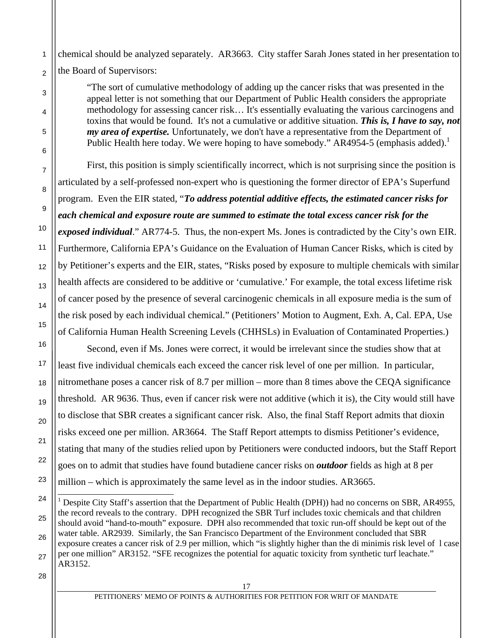1  $\overline{2}$ chemical should be analyzed separately. AR3663. City staffer Sarah Jones stated in her presentation to the Board of Supervisors:

"The sort of cumulative methodology of adding up the cancer risks that was presented in the appeal letter is not something that our Department of Public Health considers the appropriate methodology for assessing cancer risk… It's essentially evaluating the various carcinogens and toxins that would be found. It's not a cumulative or additive situation. *This is, I have to say, not my area of expertise.* Unfortunately, we don't have a representative from the Department of Public Health here today. We were hoping to have somebody." AR4954-5 (emphasis added).<sup>1</sup>

 First, this position is simply scientifically incorrect, which is not surprising since the position is articulated by a self-professed non-expert who is questioning the former director of EPA's Superfund program. Even the EIR stated, "*To address potential additive effects, the estimated cancer risks for each chemical and exposure route are summed to estimate the total excess cancer risk for the exposed individual*." AR774-5. Thus, the non-expert Ms. Jones is contradicted by the City's own EIR. Furthermore, California EPA's Guidance on the Evaluation of Human Cancer Risks, which is cited by by Petitioner's experts and the EIR, states, "Risks posed by exposure to multiple chemicals with similar health affects are considered to be additive or 'cumulative.' For example, the total excess lifetime risk of cancer posed by the presence of several carcinogenic chemicals in all exposure media is the sum of the risk posed by each individual chemical." (Petitioners' Motion to Augment, Exh. A, Cal. EPA, Use of California Human Health Screening Levels (CHHSLs) in Evaluation of Contaminated Properties.)

 Second, even if Ms. Jones were correct, it would be irrelevant since the studies show that at least five individual chemicals each exceed the cancer risk level of one per million. In particular, nitromethane poses a cancer risk of 8.7 per million – more than 8 times above the CEQA significance threshold. AR 9636. Thus, even if cancer risk were not additive (which it is), the City would still have to disclose that SBR creates a significant cancer risk. Also, the final Staff Report admits that dioxin risks exceed one per million. AR3664. The Staff Report attempts to dismiss Petitioner's evidence, stating that many of the studies relied upon by Petitioners were conducted indoors, but the Staff Report goes on to admit that studies have found butadiene cancer risks on *outdoor* fields as high at 8 per million – which is approximately the same level as in the indoor studies. AR3665.

28

3

4

5

6

7

8

9

10

11

12

13

14

15

16

17

18

19

20

21

22

23

 $\overline{a}$ 

<sup>24</sup> 25 26 27 <sup>1</sup> Despite City Staff's assertion that the Department of Public Health (DPH)) had no concerns on SBR, AR4955, the record reveals to the contrary. DPH recognized the SBR Turf includes toxic chemicals and that children should avoid "hand-to-mouth" exposure. DPH also recommended that toxic run-off should be kept out of the water table. AR2939. Similarly, the San Francisco Department of the Environment concluded that SBR exposure creates a cancer risk of 2.9 per million, which "is slightly higher than the di minimis risk level of l case per one million" AR3152. "SFE recognizes the potential for aquatic toxicity from synthetic turf leachate." AR3152.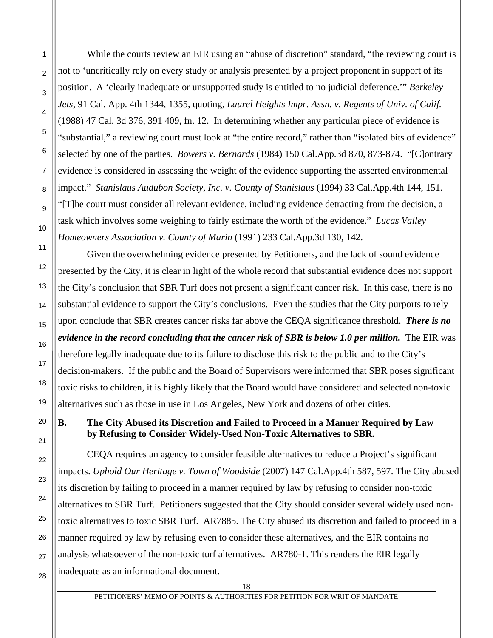While the courts review an EIR using an "abuse of discretion" standard, "the reviewing court is not to 'uncritically rely on every study or analysis presented by a project proponent in support of its position. A 'clearly inadequate or unsupported study is entitled to no judicial deference.'" *Berkeley Jets*, 91 Cal. App. 4th 1344, 1355, quoting, *Laurel Heights Impr. Assn. v. Regents of Univ. of Calif.* (1988) 47 Cal. 3d 376, 391 409, fn. 12. In determining whether any particular piece of evidence is "substantial," a reviewing court must look at "the entire record," rather than "isolated bits of evidence" selected by one of the parties. *Bowers v. Bernards* (1984) 150 Cal.App.3d 870, 873-874. "[C]ontrary evidence is considered in assessing the weight of the evidence supporting the asserted environmental impact." *Stanislaus Audubon Society, Inc. v. County of Stanislaus* (1994) 33 Cal.App.4th 144, 151. "[T]he court must consider all relevant evidence, including evidence detracting from the decision, a task which involves some weighing to fairly estimate the worth of the evidence." *Lucas Valley Homeowners Association v. County of Marin* (1991) 233 Cal.App.3d 130, 142.

 Given the overwhelming evidence presented by Petitioners, and the lack of sound evidence presented by the City, it is clear in light of the whole record that substantial evidence does not support the City's conclusion that SBR Turf does not present a significant cancer risk. In this case, there is no substantial evidence to support the City's conclusions. Even the studies that the City purports to rely upon conclude that SBR creates cancer risks far above the CEQA significance threshold. *There is no evidence in the record concluding that the cancer risk of SBR is below 1.0 per million.* The EIR was therefore legally inadequate due to its failure to disclose this risk to the public and to the City's decision-makers. If the public and the Board of Supervisors were informed that SBR poses significant toxic risks to children, it is highly likely that the Board would have considered and selected non-toxic alternatives such as those in use in Los Angeles, New York and dozens of other cities.

**B. The City Abused its Discretion and Failed to Proceed in a Manner Required by Law by Refusing to Consider Widely-Used Non-Toxic Alternatives to SBR.** 

 CEQA requires an agency to consider feasible alternatives to reduce a Project's significant impacts. *Uphold Our Heritage v. Town of Woodside* (2007) 147 Cal.App.4th 587, 597. The City abused its discretion by failing to proceed in a manner required by law by refusing to consider non-toxic alternatives to SBR Turf. Petitioners suggested that the City should consider several widely used nontoxic alternatives to toxic SBR Turf. AR7885. The City abused its discretion and failed to proceed in a manner required by law by refusing even to consider these alternatives, and the EIR contains no analysis whatsoever of the non-toxic turf alternatives. AR780-1. This renders the EIR legally inadequate as an informational document.

1

 $\overline{2}$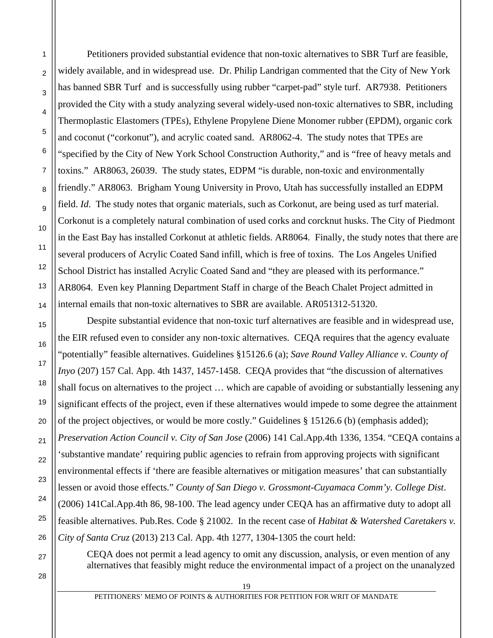Petitioners provided substantial evidence that non-toxic alternatives to SBR Turf are feasible, widely available, and in widespread use. Dr. Philip Landrigan commented that the City of New York has banned SBR Turf and is successfully using rubber "carpet-pad" style turf. AR7938. Petitioners provided the City with a study analyzing several widely-used non-toxic alternatives to SBR, including Thermoplastic Elastomers (TPEs), Ethylene Propylene Diene Monomer rubber (EPDM), organic cork and coconut ("corkonut"), and acrylic coated sand. AR8062-4. The study notes that TPEs are "specified by the City of New York School Construction Authority," and is "free of heavy metals and toxins." AR8063, 26039. The study states, EDPM "is durable, non-toxic and environmentally friendly." AR8063. Brigham Young University in Provo, Utah has successfully installed an EDPM field. *Id*. The study notes that organic materials, such as Corkonut, are being used as turf material. Corkonut is a completely natural combination of used corks and corcknut husks. The City of Piedmont in the East Bay has installed Corkonut at athletic fields. AR8064. Finally, the study notes that there are several producers of Acrylic Coated Sand infill, which is free of toxins. The Los Angeles Unified School District has installed Acrylic Coated Sand and "they are pleased with its performance." AR8064. Even key Planning Department Staff in charge of the Beach Chalet Project admitted in internal emails that non-toxic alternatives to SBR are available. AR051312-51320.

Despite substantial evidence that non-toxic turf alternatives are feasible and in widespread use, the EIR refused even to consider any non-toxic alternatives. CEQA requires that the agency evaluate "potentially" feasible alternatives. Guidelines §15126.6 (a); *Save Round Valley Alliance v. County of Inyo* (207) 157 Cal. App. 4th 1437, 1457-1458. CEQA provides that "the discussion of alternatives shall focus on alternatives to the project … which are capable of avoiding or substantially lessening any significant effects of the project, even if these alternatives would impede to some degree the attainment of the project objectives, or would be more costly." Guidelines § 15126.6 (b) (emphasis added); *Preservation Action Council v. City of San Jose* (2006) 141 Cal.App.4th 1336, 1354. "CEQA contains a 'substantive mandate' requiring public agencies to refrain from approving projects with significant environmental effects if 'there are feasible alternatives or mitigation measures' that can substantially lessen or avoid those effects." *County of San Diego v. Grossmont-Cuyamaca Comm'y. College Dist*. (2006) 141Cal.App.4th 86, 98-100. The lead agency under CEQA has an affirmative duty to adopt all feasible alternatives. Pub.Res. Code § 21002. In the recent case of *Habitat & Watershed Caretakers v. City of Santa Cruz* (2013) 213 Cal. App. 4th 1277, 1304-1305 the court held:

CEQA does not permit a lead agency to omit any discussion, analysis, or even mention of any alternatives that feasibly might reduce the environmental impact of a project on the unanalyzed

27

1

 $\overline{2}$ 

3

4

5

6

7

8

9

10

11

12

13

14

15

16

17

18

19

20

21

22

23

24

25

26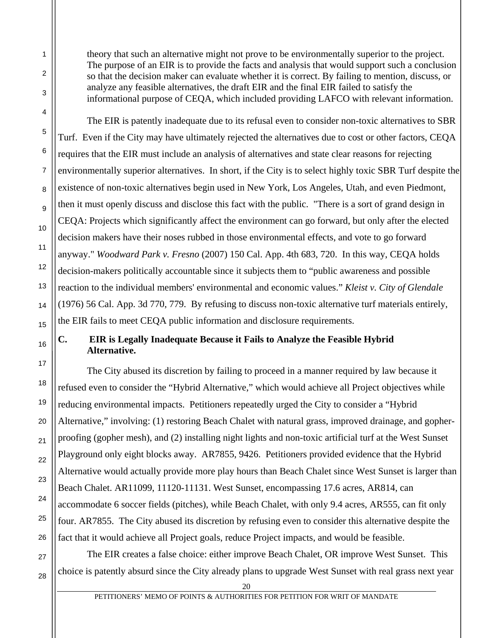theory that such an alternative might not prove to be environmentally superior to the project. The purpose of an EIR is to provide the facts and analysis that would support such a conclusion so that the decision maker can evaluate whether it is correct. By failing to mention, discuss, or analyze any feasible alternatives, the draft EIR and the final EIR failed to satisfy the informational purpose of CEQA, which included providing LAFCO with relevant information.

 The EIR is patently inadequate due to its refusal even to consider non-toxic alternatives to SBR Turf. Even if the City may have ultimately rejected the alternatives due to cost or other factors, CEQA requires that the EIR must include an analysis of alternatives and state clear reasons for rejecting environmentally superior alternatives. In short, if the City is to select highly toxic SBR Turf despite the existence of non-toxic alternatives begin used in New York, Los Angeles, Utah, and even Piedmont, then it must openly discuss and disclose this fact with the public. "There is a sort of grand design in CEQA: Projects which significantly affect the environment can go forward, but only after the elected decision makers have their noses rubbed in those environmental effects, and vote to go forward anyway." *Woodward Park v. Fresno* (2007) 150 Cal. App. 4th 683, 720. In this way, CEQA holds decision-makers politically accountable since it subjects them to "public awareness and possible reaction to the individual members' environmental and economic values." *Kleist v. City of Glendale*  (1976) 56 Cal. App. 3d 770, 779. By refusing to discuss non-toxic alternative turf materials entirely, the EIR fails to meet CEQA public information and disclosure requirements.

## **C. EIR is Legally Inadequate Because it Fails to Analyze the Feasible Hybrid Alternative.**

 The City abused its discretion by failing to proceed in a manner required by law because it refused even to consider the "Hybrid Alternative," which would achieve all Project objectives while reducing environmental impacts. Petitioners repeatedly urged the City to consider a "Hybrid Alternative," involving: (1) restoring Beach Chalet with natural grass, improved drainage, and gopherproofing (gopher mesh), and (2) installing night lights and non-toxic artificial turf at the West Sunset Playground only eight blocks away. AR7855, 9426. Petitioners provided evidence that the Hybrid Alternative would actually provide more play hours than Beach Chalet since West Sunset is larger than Beach Chalet. AR11099, 11120-11131. West Sunset, encompassing 17.6 acres, AR814, can accommodate 6 soccer fields (pitches), while Beach Chalet, with only 9.4 acres, AR555, can fit only four. AR7855. The City abused its discretion by refusing even to consider this alternative despite the fact that it would achieve all Project goals, reduce Project impacts, and would be feasible.

 The EIR creates a false choice: either improve Beach Chalet, OR improve West Sunset. This choice is patently absurd since the City already plans to upgrade West Sunset with real grass next year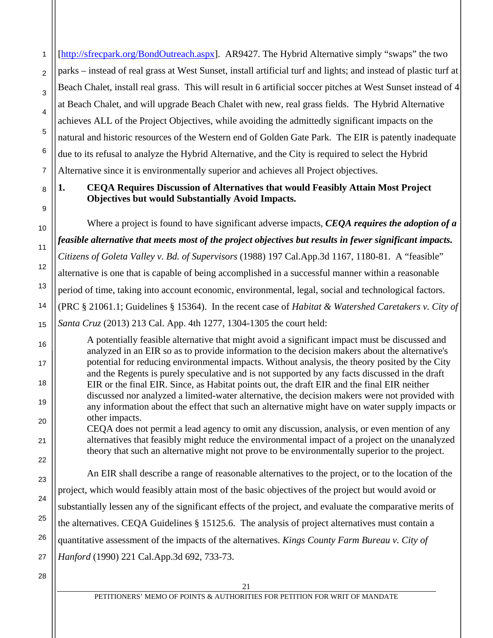[http://sfrecpark.org/BondOutreach.aspx]. AR9427. The Hybrid Alternative simply "swaps" the two parks – instead of real grass at West Sunset, install artificial turf and lights; and instead of plastic turf at Beach Chalet, install real grass. This will result in 6 artificial soccer pitches at West Sunset instead of 4 at Beach Chalet, and will upgrade Beach Chalet with new, real grass fields. The Hybrid Alternative achieves ALL of the Project Objectives, while avoiding the admittedly significant impacts on the natural and historic resources of the Western end of Golden Gate Park. The EIR is patently inadequate due to its refusal to analyze the Hybrid Alternative, and the City is required to select the Hybrid Alternative since it is environmentally superior and achieves all Project objectives.

# **1. CEQA Requires Discussion of Alternatives that would Feasibly Attain Most Project Objectives but would Substantially Avoid Impacts.**

Where a project is found to have significant adverse impacts, *CEQA requires the adoption of a feasible alternative that meets most of the project objectives but results in fewer significant impacts. Citizens of Goleta Valley v. Bd. of Supervisors* (1988) 197 Cal.App.3d 1167, 1180-81. A "feasible" alternative is one that is capable of being accomplished in a successful manner within a reasonable period of time, taking into account economic, environmental, legal, social and technological factors. (PRC § 21061.1; Guidelines § 15364). In the recent case of *Habitat & Watershed Caretakers v. City of Santa Cruz* (2013) 213 Cal. App. 4th 1277, 1304-1305 the court held:

A potentially feasible alternative that might avoid a significant impact must be discussed and analyzed in an EIR so as to provide information to the decision makers about the alternative's potential for reducing environmental impacts. Without analysis, the theory posited by the City and the Regents is purely speculative and is not supported by any facts discussed in the draft EIR or the final EIR. Since, as Habitat points out, the draft EIR and the final EIR neither discussed nor analyzed a limited-water alternative, the decision makers were not provided with any information about the effect that such an alternative might have on water supply impacts or other impacts.

CEQA does not permit a lead agency to omit any discussion, analysis, or even mention of any alternatives that feasibly might reduce the environmental impact of a project on the unanalyzed theory that such an alternative might not prove to be environmentally superior to the project.

An EIR shall describe a range of reasonable alternatives to the project, or to the location of the project, which would feasibly attain most of the basic objectives of the project but would avoid or substantially lessen any of the significant effects of the project, and evaluate the comparative merits of the alternatives. CEQA Guidelines § 15125.6. The analysis of project alternatives must contain a quantitative assessment of the impacts of the alternatives. *Kings County Farm Bureau v. City of Hanford* (1990) 221 Cal.App.3d 692, 733-73.

28

1

 $\overline{2}$ 

3

4

5

6

7

8

9

10

11

12

13

14

15

16

17

18

19

20

21

22

23

24

25

26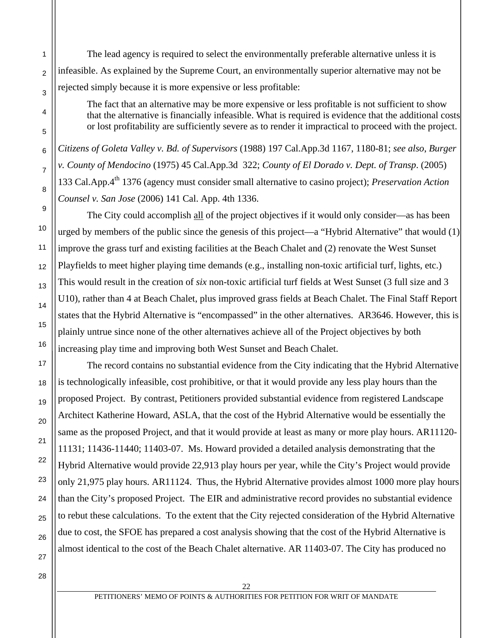The lead agency is required to select the environmentally preferable alternative unless it is infeasible. As explained by the Supreme Court, an environmentally superior alternative may not be rejected simply because it is more expensive or less profitable:

The fact that an alternative may be more expensive or less profitable is not sufficient to show that the alternative is financially infeasible. What is required is evidence that the additional costs or lost profitability are sufficiently severe as to render it impractical to proceed with the project.

*Citizens of Goleta Valley v. Bd. of Supervisors* (1988) 197 Cal.App.3d 1167, 1180-81; *see also*, *Burger v. County of Mendocino* (1975) 45 Cal.App.3d 322; *County of El Dorado v. Dept. of Transp*. (2005) 133 Cal.App.4th 1376 (agency must consider small alternative to casino project); *Preservation Action Counsel v. San Jose* (2006) 141 Cal. App. 4th 1336.

The City could accomplish all of the project objectives if it would only consider—as has been urged by members of the public since the genesis of this project—a "Hybrid Alternative" that would  $(1)$ improve the grass turf and existing facilities at the Beach Chalet and (2) renovate the West Sunset Playfields to meet higher playing time demands (e.g., installing non-toxic artificial turf, lights, etc.) This would result in the creation of *six* non-toxic artificial turf fields at West Sunset (3 full size and 3 U10), rather than 4 at Beach Chalet, plus improved grass fields at Beach Chalet. The Final Staff Report states that the Hybrid Alternative is "encompassed" in the other alternatives. AR3646. However, this is plainly untrue since none of the other alternatives achieve all of the Project objectives by both increasing play time and improving both West Sunset and Beach Chalet.

The record contains no substantial evidence from the City indicating that the Hybrid Alternative is technologically infeasible, cost prohibitive, or that it would provide any less play hours than the proposed Project. By contrast, Petitioners provided substantial evidence from registered Landscape Architect Katherine Howard, ASLA, that the cost of the Hybrid Alternative would be essentially the same as the proposed Project, and that it would provide at least as many or more play hours. AR11120- 11131; 11436-11440; 11403-07. Ms. Howard provided a detailed analysis demonstrating that the Hybrid Alternative would provide 22,913 play hours per year, while the City's Project would provide only 21,975 play hours. AR11124. Thus, the Hybrid Alternative provides almost 1000 more play hours than the City's proposed Project. The EIR and administrative record provides no substantial evidence to rebut these calculations. To the extent that the City rejected consideration of the Hybrid Alternative due to cost, the SFOE has prepared a cost analysis showing that the cost of the Hybrid Alternative is almost identical to the cost of the Beach Chalet alternative. AR 11403-07. The City has produced no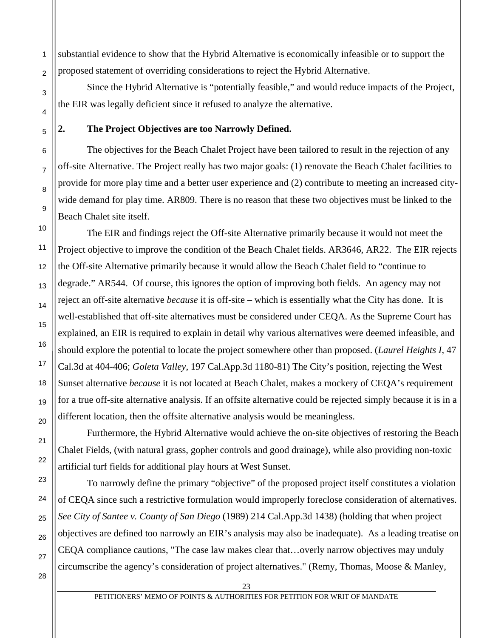substantial evidence to show that the Hybrid Alternative is economically infeasible or to support the proposed statement of overriding considerations to reject the Hybrid Alternative.

 Since the Hybrid Alternative is "potentially feasible," and would reduce impacts of the Project, the EIR was legally deficient since it refused to analyze the alternative.

#### **2. The Project Objectives are too Narrowly Defined.**

The objectives for the Beach Chalet Project have been tailored to result in the rejection of any off-site Alternative. The Project really has two major goals: (1) renovate the Beach Chalet facilities to provide for more play time and a better user experience and (2) contribute to meeting an increased citywide demand for play time. AR809. There is no reason that these two objectives must be linked to the Beach Chalet site itself.

The EIR and findings reject the Off-site Alternative primarily because it would not meet the Project objective to improve the condition of the Beach Chalet fields. AR3646, AR22. The EIR rejects the Off-site Alternative primarily because it would allow the Beach Chalet field to "continue to degrade." AR544. Of course, this ignores the option of improving both fields. An agency may not reject an off-site alternative *because* it is off-site – which is essentially what the City has done. It is well-established that off-site alternatives must be considered under CEQA. As the Supreme Court has explained, an EIR is required to explain in detail why various alternatives were deemed infeasible, and should explore the potential to locate the project somewhere other than proposed. (*Laurel Heights I*, 47 Cal.3d at 404-406; *Goleta Valley*, 197 Cal.App.3d 1180-81) The City's position, rejecting the West Sunset alternative *because* it is not located at Beach Chalet, makes a mockery of CEQA's requirement for a true off-site alternative analysis. If an offsite alternative could be rejected simply because it is in a different location, then the offsite alternative analysis would be meaningless.

Furthermore, the Hybrid Alternative would achieve the on-site objectives of restoring the Beach Chalet Fields, (with natural grass, gopher controls and good drainage), while also providing non-toxic artificial turf fields for additional play hours at West Sunset.

To narrowly define the primary "objective" of the proposed project itself constitutes a violation of CEQA since such a restrictive formulation would improperly foreclose consideration of alternatives. *See City of Santee v. County of San Diego* (1989) 214 Cal.App.3d 1438) (holding that when project objectives are defined too narrowly an EIR's analysis may also be inadequate). As a leading treatise on CEQA compliance cautions, "The case law makes clear that…overly narrow objectives may unduly circumscribe the agency's consideration of project alternatives." (Remy, Thomas, Moose & Manley,

1

2

3

4

5

6

7

8

9

10

11

12

13

14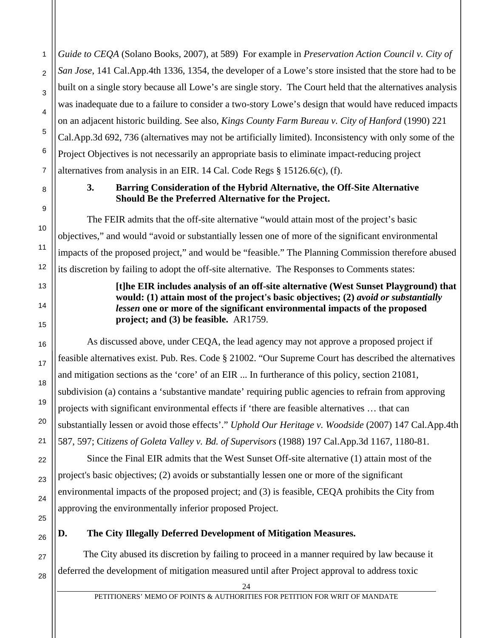*Guide to CEQA* (Solano Books, 2007), at 589) For example in *Preservation Action Council v. City of San Jose*, 141 Cal.App.4th 1336, 1354, the developer of a Lowe's store insisted that the store had to be built on a single story because all Lowe's are single story. The Court held that the alternatives analysis was inadequate due to a failure to consider a two-story Lowe's design that would have reduced impacts on an adjacent historic building. See also, *Kings County Farm Bureau v. City of Hanford* (1990) 221 Cal.App.3d 692, 736 (alternatives may not be artificially limited). Inconsistency with only some of the Project Objectives is not necessarily an appropriate basis to eliminate impact-reducing project alternatives from analysis in an EIR. 14 Cal. Code Regs § 15126.6(c), (f).

## **3. Barring Consideration of the Hybrid Alternative, the Off-Site Alternative Should Be the Preferred Alternative for the Project.**

The FEIR admits that the off-site alternative "would attain most of the project's basic objectives," and would "avoid or substantially lessen one of more of the significant environmental impacts of the proposed project," and would be "feasible." The Planning Commission therefore abused its discretion by failing to adopt the off-site alternative. The Responses to Comments states:

> **[t]he EIR includes analysis of an off-site alternative (West Sunset Playground) that would: (1) attain most of the project's basic objectives; (2)** *avoid or substantially lessen* **one or more of the significant environmental impacts of the proposed project; and (3) be feasible.** AR1759.

As discussed above, under CEQA, the lead agency may not approve a proposed project if feasible alternatives exist. Pub. Res. Code § 21002. "Our Supreme Court has described the alternatives and mitigation sections as the 'core' of an EIR ... In furtherance of this policy, section 21081, subdivision (a) contains a 'substantive mandate' requiring public agencies to refrain from approving projects with significant environmental effects if 'there are feasible alternatives … that can substantially lessen or avoid those effects'." *Uphold Our Heritage v. Woodside* (2007) 147 Cal.App.4th 587, 597; C*itizens of Goleta Valley v. Bd. of Supervisors* (1988) 197 Cal.App.3d 1167, 1180-81.

Since the Final EIR admits that the West Sunset Off-site alternative (1) attain most of the project's basic objectives; (2) avoids or substantially lessen one or more of the significant environmental impacts of the proposed project; and (3) is feasible, CEQA prohibits the City from approving the environmentally inferior proposed Project.

# **D. The City Illegally Deferred Development of Mitigation Measures.**

 The City abused its discretion by failing to proceed in a manner required by law because it deferred the development of mitigation measured until after Project approval to address toxic

1

 $\mathfrak{p}$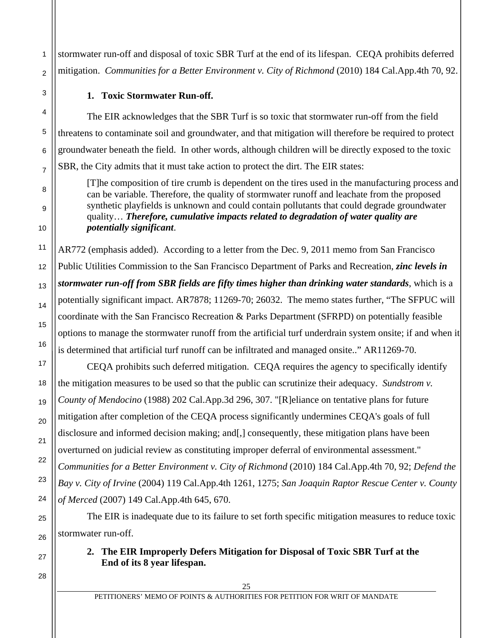stormwater run-off and disposal of toxic SBR Turf at the end of its lifespan. CEQA prohibits deferred mitigation. *Communities for a Better Environment v. City of Richmond* (2010) 184 Cal.App.4th 70, 92.

### **1. Toxic Stormwater Run-off.**

 The EIR acknowledges that the SBR Turf is so toxic that stormwater run-off from the field threatens to contaminate soil and groundwater, and that mitigation will therefore be required to protect groundwater beneath the field. In other words, although children will be directly exposed to the toxic SBR, the City admits that it must take action to protect the dirt. The EIR states:

[T]he composition of tire crumb is dependent on the tires used in the manufacturing process and can be variable. Therefore, the quality of stormwater runoff and leachate from the proposed synthetic playfields is unknown and could contain pollutants that could degrade groundwater quality… *Therefore, cumulative impacts related to degradation of water quality are potentially significant*.

AR772 (emphasis added). According to a letter from the Dec. 9, 2011 memo from San Francisco Public Utilities Commission to the San Francisco Department of Parks and Recreation, *zinc levels in stormwater run-off from SBR fields are fifty times higher than drinking water standards*, which is a potentially significant impact. AR7878; 11269-70; 26032. The memo states further, "The SFPUC will coordinate with the San Francisco Recreation & Parks Department (SFRPD) on potentially feasible options to manage the stormwater runoff from the artificial turf underdrain system onsite; if and when it is determined that artificial turf runoff can be infiltrated and managed onsite.." AR11269-70.

 CEQA prohibits such deferred mitigation. CEQA requires the agency to specifically identify the mitigation measures to be used so that the public can scrutinize their adequacy. *Sundstrom v. County of Mendocino* (1988) 202 Cal.App.3d 296, 307. "[R]eliance on tentative plans for future mitigation after completion of the CEQA process significantly undermines CEQA's goals of full disclosure and informed decision making; and [,] consequently, these mitigation plans have been overturned on judicial review as constituting improper deferral of environmental assessment." *Communities for a Better Environment v. City of Richmond* (2010) 184 Cal.App.4th 70, 92; *Defend the Bay v. City of Irvine* (2004) 119 Cal.App.4th 1261, 1275; *San Joaquin Raptor Rescue Center v. County of Merced* (2007) 149 Cal.App.4th 645, 670.

 The EIR is inadequate due to its failure to set forth specific mitigation measures to reduce toxic stormwater run-off.

# **2. The EIR Improperly Defers Mitigation for Disposal of Toxic SBR Turf at the End of its 8 year lifespan.**

28

1

 $\mathfrak{p}$ 

3

4

5

6

7

8

9

10

11

12

13

14

15

16

17

18

19

20

21

22

23

24

25

26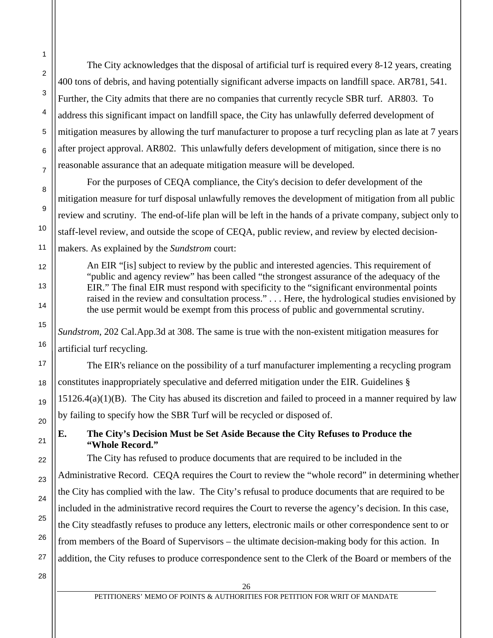The City acknowledges that the disposal of artificial turf is required every 8-12 years, creating 400 tons of debris, and having potentially significant adverse impacts on landfill space. AR781, 541. Further, the City admits that there are no companies that currently recycle SBR turf. AR803. To address this significant impact on landfill space, the City has unlawfully deferred development of mitigation measures by allowing the turf manufacturer to propose a turf recycling plan as late at 7 years after project approval. AR802. This unlawfully defers development of mitigation, since there is no reasonable assurance that an adequate mitigation measure will be developed.

 For the purposes of CEQA compliance, the City's decision to defer development of the mitigation measure for turf disposal unlawfully removes the development of mitigation from all public review and scrutiny. The end-of-life plan will be left in the hands of a private company, subject only to staff-level review, and outside the scope of CEQA, public review, and review by elected decisionmakers. As explained by the *Sundstrom* court:

An EIR "[is] subject to review by the public and interested agencies. This requirement of "public and agency review" has been called "the strongest assurance of the adequacy of the EIR." The final EIR must respond with specificity to the "significant environmental points raised in the review and consultation process." . . . Here, the hydrological studies envisioned by the use permit would be exempt from this process of public and governmental scrutiny.

*Sundstrom*, 202 Cal.App.3d at 308. The same is true with the non-existent mitigation measures for artificial turf recycling.

 The EIR's reliance on the possibility of a turf manufacturer implementing a recycling program constitutes inappropriately speculative and deferred mitigation under the EIR. Guidelines § 15126.4(a)(1)(B). The City has abused its discretion and failed to proceed in a manner required by law by failing to specify how the SBR Turf will be recycled or disposed of.

# **E. The City's Decision Must be Set Aside Because the City Refuses to Produce the "Whole Record."**

 The City has refused to produce documents that are required to be included in the Administrative Record. CEQA requires the Court to review the "whole record" in determining whether the City has complied with the law. The City's refusal to produce documents that are required to be included in the administrative record requires the Court to reverse the agency's decision. In this case, the City steadfastly refuses to produce any letters, electronic mails or other correspondence sent to or from members of the Board of Supervisors – the ultimate decision-making body for this action. In addition, the City refuses to produce correspondence sent to the Clerk of the Board or members of the

28

1

2

3

4

5

6

7

8

9

10

11

12

13

14

15

16

17

18

19

20

21

22

23

24

25

26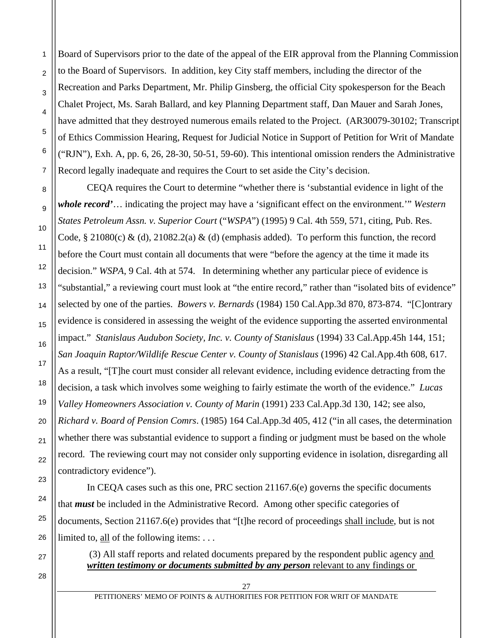Board of Supervisors prior to the date of the appeal of the EIR approval from the Planning Commission to the Board of Supervisors. In addition, key City staff members, including the director of the Recreation and Parks Department, Mr. Philip Ginsberg, the official City spokesperson for the Beach Chalet Project, Ms. Sarah Ballard, and key Planning Department staff, Dan Mauer and Sarah Jones, have admitted that they destroyed numerous emails related to the Project. (AR30079-30102; Transcript of Ethics Commission Hearing, Request for Judicial Notice in Support of Petition for Writ of Mandate ("RJN"), Exh. A, pp. 6, 26, 28-30, 50-51, 59-60). This intentional omission renders the Administrative Record legally inadequate and requires the Court to set aside the City's decision.

CEQA requires the Court to determine "whether there is 'substantial evidence in light of the *whole record'*… indicating the project may have a 'significant effect on the environment.'" *Western States Petroleum Assn. v. Superior Court* ("*WSPA*") (1995) 9 Cal. 4th 559, 571, citing, Pub. Res. Code, § 21080(c) & (d), 21082.2(a) & (d) (emphasis added). To perform this function, the record before the Court must contain all documents that were "before the agency at the time it made its decision." *WSPA*, 9 Cal. 4th at 574. In determining whether any particular piece of evidence is "substantial," a reviewing court must look at "the entire record," rather than "isolated bits of evidence" selected by one of the parties. *Bowers v. Bernards* (1984) 150 Cal.App.3d 870, 873-874. "[C]ontrary evidence is considered in assessing the weight of the evidence supporting the asserted environmental impact." *Stanislaus Audubon Society, Inc. v. County of Stanislaus* (1994) 33 Cal.App.45h 144, 151; *San Joaquin Raptor/Wildlife Rescue Center v. County of Stanislaus* (1996) 42 Cal.App.4th 608, 617. As a result, "[T]he court must consider all relevant evidence, including evidence detracting from the decision, a task which involves some weighing to fairly estimate the worth of the evidence." *Lucas Valley Homeowners Association v. County of Marin* (1991) 233 Cal.App.3d 130, 142; see also, *Richard v. Board of Pension Comrs*. (1985) 164 Cal.App.3d 405, 412 ("in all cases, the determination whether there was substantial evidence to support a finding or judgment must be based on the whole record. The reviewing court may not consider only supporting evidence in isolation, disregarding all contradictory evidence").

In CEQA cases such as this one, PRC section 21167.6(e) governs the specific documents that *must* be included in the Administrative Record. Among other specific categories of documents, Section 21167.6(e) provides that "[t]he record of proceedings shall include, but is not limited to, all of the following items: . . .

 (3) All staff reports and related documents prepared by the respondent public agency and *written testimony or documents submitted by any person* relevant to any findings or

28

1

 $\overline{2}$ 

3

4

5

6

7

8

9

10

11

12

13

14

15

16

17

18

19

20

21

22

23

24

25

26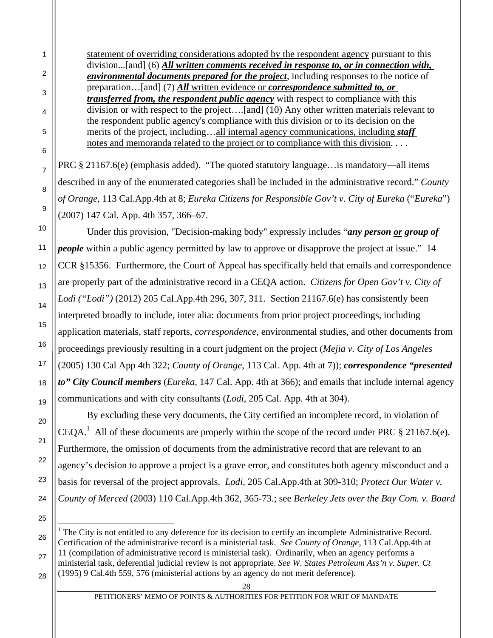statement of overriding considerations adopted by the respondent agency pursuant to this division...[and] (6) *All written comments received in response to, or in connection with, environmental documents prepared for the project*, including responses to the notice of preparation…[and] (7) *All* written evidence or *correspondence submitted to, or transferred from, the respondent public agency* with respect to compliance with this division or with respect to the project….[and] (10) Any other written materials relevant to the respondent public agency's compliance with this division or to its decision on the merits of the project, including…all internal agency communications, including *staff*  notes and memoranda related to the project or to compliance with this division. . . . PRC § 21167.6(e) (emphasis added). "The quoted statutory language... is mandatory—all items described in any of the enumerated categories shall be included in the administrative record." *County of Orange*, 113 Cal.App.4th at 8; *Eureka Citizens for Responsible Gov't v. City of Eureka* ("*Eureka*")

(2007) 147 Cal. App. 4th 357, 366–67. Under this provision, "Decision-making body" expressly includes "*any person or group of people* within a public agency permitted by law to approve or disapprove the project at issue." 14 CCR §15356. Furthermore, the Court of Appeal has specifically held that emails and correspondence are properly part of the administrative record in a CEQA action. *Citizens for Open Gov't v. City of Lodi ("Lodi")* (2012) 205 Cal.App.4th 296, 307, 311. Section 21167.6(e) has consistently been

interpreted broadly to include, inter alia: documents from prior project proceedings, including application materials, staff reports, *correspondence*, environmental studies, and other documents from proceedings previously resulting in a court judgment on the project (*Mejia v. City of Los Angeles* (2005) 130 Cal App 4th 322; *County of Orange*, 113 Cal. App. 4th at 7)); *correspondence "presented to" City Council members* (*Eureka,* 147 Cal. App. 4th at 366); and emails that include internal agency communications and with city consultants (*Lodi*, 205 Cal. App. 4th at 304).

By excluding these very documents, the City certified an incomplete record, in violation of CEQA.<sup>1</sup> All of these documents are properly within the scope of the record under PRC  $\S 21167.6(e)$ . Furthermore, the omission of documents from the administrative record that are relevant to an agency's decision to approve a project is a grave error, and constitutes both agency misconduct and a basis for reversal of the project approvals. *Lodi*, 205 Cal.App.4th at 309-310; *Protect Our Water v. County of Merced* (2003) 110 Cal.App.4th 362, 365-73.; see *Berkeley Jets over the Bay Com. v. Board* 

26 27 28  $\overline{a}$ <sup>1</sup> The City is not entitled to any deference for its decision to certify an incomplete Administrative Record. Certification of the administrative record is a ministerial task. *See County of Orange*, 113 Cal.App.4th at 11 (compilation of administrative record is ministerial task). Ordinarily, when an agency performs a ministerial task, deferential judicial review is not appropriate. *See W. States Petroleum Ass'n v. Super. Ct* (1995) 9 Cal.4th 559, 576 (ministerial actions by an agency do not merit deference).

1

2

3

4

5

6

7

8

9

10

11

12

13

14

15

16

17

18

19

20

21

22

23

24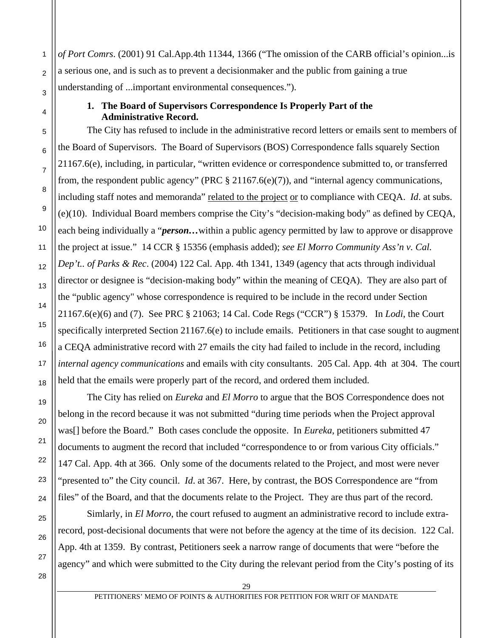*of Port Comrs*. (2001) 91 Cal.App.4th 11344, 1366 ("The omission of the CARB official's opinion...is a serious one, and is such as to prevent a decisionmaker and the public from gaining a true understanding of ...important environmental consequences.").

### **1. The Board of Supervisors Correspondence Is Properly Part of the Administrative Record.**

The City has refused to include in the administrative record letters or emails sent to members of the Board of Supervisors. The Board of Supervisors (BOS) Correspondence falls squarely Section 21167.6(e), including, in particular, "written evidence or correspondence submitted to, or transferred from, the respondent public agency" (PRC § 21167.6(e)(7)), and "internal agency communications, including staff notes and memoranda" related to the project or to compliance with CEQA. *Id*. at subs. (e)(10). Individual Board members comprise the City's "decision-making body" as defined by CEQA, each being individually a "*person…*within a public agency permitted by law to approve or disapprove the project at issue." 14 CCR § 15356 (emphasis added); *see El Morro Community Ass'n v. Cal. Dep't.. of Parks & Rec*. (2004) 122 Cal. App. 4th 1341, 1349 (agency that acts through individual director or designee is "decision-making body" within the meaning of CEQA). They are also part of the "public agency" whose correspondence is required to be include in the record under Section 21167.6(e)(6) and (7). See PRC § 21063; 14 Cal. Code Regs ("CCR") § 15379. In *Lodi*, the Court specifically interpreted Section 21167.6(e) to include emails. Petitioners in that case sought to augment a CEQA administrative record with 27 emails the city had failed to include in the record, including *internal agency communications* and emails with city consultants. 205 Cal. App. 4th at 304. The court held that the emails were properly part of the record, and ordered them included.

The City has relied on *Eureka* and *El Morro* to argue that the BOS Correspondence does not belong in the record because it was not submitted "during time periods when the Project approval was[] before the Board." Both cases conclude the opposite. In *Eureka*, petitioners submitted 47 documents to augment the record that included "correspondence to or from various City officials." 147 Cal. App. 4th at 366. Only some of the documents related to the Project, and most were never "presented to" the City council. *Id*. at 367. Here, by contrast, the BOS Correspondence are "from files" of the Board, and that the documents relate to the Project. They are thus part of the record.

Simlarly, in *El Morro*, the court refused to augment an administrative record to include extrarecord, post-decisional documents that were not before the agency at the time of its decision. 122 Cal. App. 4th at 1359. By contrast, Petitioners seek a narrow range of documents that were "before the agency" and which were submitted to the City during the relevant period from the City's posting of its

1

2

3

4

5

6

7

8

9

10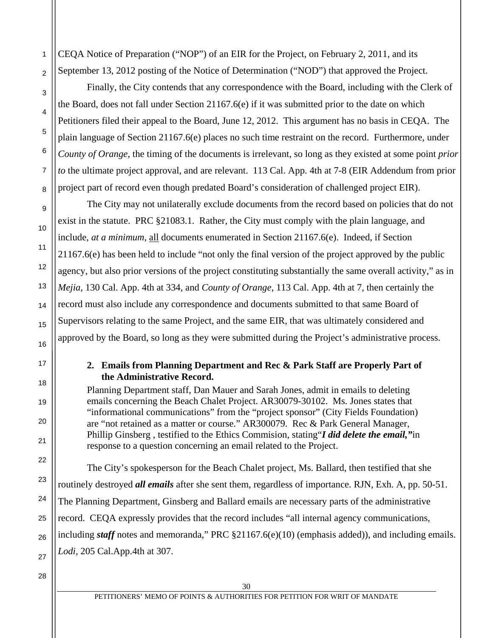CEQA Notice of Preparation ("NOP") of an EIR for the Project, on February 2, 2011, and its September 13, 2012 posting of the Notice of Determination ("NOD") that approved the Project.

Finally, the City contends that any correspondence with the Board, including with the Clerk of the Board, does not fall under Section 21167.6(e) if it was submitted prior to the date on which Petitioners filed their appeal to the Board, June 12, 2012. This argument has no basis in CEQA. The plain language of Section 21167.6(e) places no such time restraint on the record. Furthermore, under *County of Orange*, the timing of the documents is irrelevant, so long as they existed at some point *prior to* the ultimate project approval, and are relevant. 113 Cal. App. 4th at 7-8 (EIR Addendum from prior project part of record even though predated Board's consideration of challenged project EIR).

The City may not unilaterally exclude documents from the record based on policies that do not exist in the statute. PRC §21083.1. Rather, the City must comply with the plain language, and include, *at a minimum*, all documents enumerated in Section 21167.6(e). Indeed, if Section 21167.6(e) has been held to include "not only the final version of the project approved by the public agency, but also prior versions of the project constituting substantially the same overall activity," as in *Mejia*, 130 Cal. App. 4th at 334, and *County of Orange*, 113 Cal. App. 4th at 7, then certainly the record must also include any correspondence and documents submitted to that same Board of Supervisors relating to the same Project, and the same EIR, that was ultimately considered and approved by the Board, so long as they were submitted during the Project's administrative process.

### **2. Emails from Planning Department and Rec & Park Staff are Properly Part of the Administrative Record.**

Planning Department staff, Dan Mauer and Sarah Jones, admit in emails to deleting emails concerning the Beach Chalet Project. AR30079-30102. Ms. Jones states that "informational communications" from the "project sponsor" (City Fields Foundation) are "not retained as a matter or course." AR300079. Rec & Park General Manager, Phillip Ginsberg , testified to the Ethics Commision, stating"*I did delete the email,"*in response to a question concerning an email related to the Project.

The City's spokesperson for the Beach Chalet project, Ms. Ballard, then testified that she routinely destroyed *all emails* after she sent them, regardless of importance. RJN, Exh. A, pp. 50-51. The Planning Department, Ginsberg and Ballard emails are necessary parts of the administrative record. CEQA expressly provides that the record includes "all internal agency communications, including *staff* notes and memoranda," PRC §21167.6(e)(10) (emphasis added)), and including emails. *Lodi,* 205 Cal.App.4th at 307.

28

1

 $\overline{2}$ 

3

4

5

6

7

8

9

10

11

12

13

14

15

16

17

18

19

20

21

22

23

24

25

26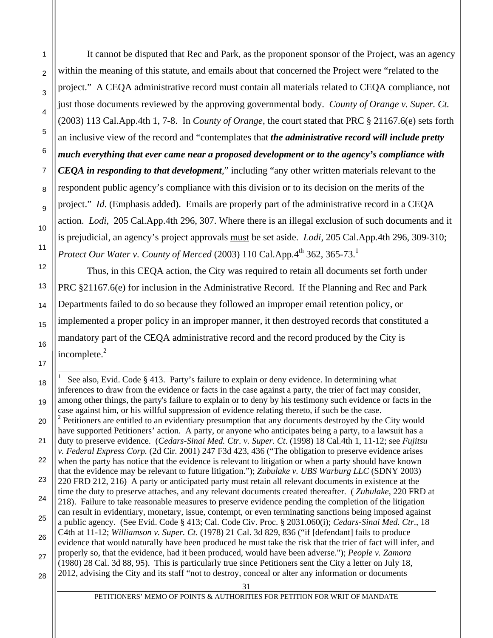It cannot be disputed that Rec and Park, as the proponent sponsor of the Project, was an agency within the meaning of this statute, and emails about that concerned the Project were "related to the project." A CEQA administrative record must contain all materials related to CEQA compliance, not just those documents reviewed by the approving governmental body. *County of Orange v. Super. Ct.* (2003) 113 Cal.App.4th 1, 7-8. In *County of Orange*, the court stated that PRC § 21167.6(e) sets forth an inclusive view of the record and "contemplates that *the administrative record will include pretty much everything that ever came near a proposed development or to the agency's compliance with CEQA in responding to that development*," including "any other written materials relevant to the respondent public agency's compliance with this division or to its decision on the merits of the project." *Id*. (Emphasis added). Emails are properly part of the administrative record in a CEQA action. *Lodi,* 205 Cal.App.4th 296, 307. Where there is an illegal exclusion of such documents and it is prejudicial, an agency's project approvals must be set aside. *Lodi*, 205 Cal.App.4th 296, 309-310; *Protect Our Water v. County of Merced* (2003) 110 Cal.App. $4^{\text{th}}$  362, 365-73.<sup>1</sup>

1

2

3

4

5

6

7

8

9

10

11

12

13

14

15

16

17

 $\overline{a}$ 

 Thus, in this CEQA action, the City was required to retain all documents set forth under PRC §21167.6(e) for inclusion in the Administrative Record. If the Planning and Rec and Park Departments failed to do so because they followed an improper email retention policy, or implemented a proper policy in an improper manner, it then destroyed records that constituted a mandatory part of the CEQA administrative record and the record produced by the City is incomplete. $2$ 

18 19 20 21 22 23 24 25 26 27 28 1 See also, Evid. Code § 413. Party's failure to explain or deny evidence. In determining what inferences to draw from the evidence or facts in the case against a party, the trier of fact may consider, among other things, the party's failure to explain or to deny by his testimony such evidence or facts in the case against him, or his willful suppression of evidence relating thereto, if such be the case. <sup>2</sup> Petitioners are entitled to an evidentiary presumption that any documents destroyed by the City would have supported Petitioners' action. A party, or anyone who anticipates being a party, to a lawsuit has a duty to preserve evidence. (*Cedars-Sinai Med. Ctr. v. Super. Ct*. (1998) 18 Cal.4th 1, 11-12; see *Fujitsu v. Federal Express Corp.* (2d Cir. 2001) 247 F3d 423, 436 ("The obligation to preserve evidence arises when the party has notice that the evidence is relevant to litigation or when a party should have known that the evidence may be relevant to future litigation."); *Zubulake v. UBS Warburg LLC* (SDNY 2003) 220 FRD 212, 216) A party or anticipated party must retain all relevant documents in existence at the time the duty to preserve attaches, and any relevant documents created thereafter. ( *Zubulake*, 220 FRD at 218). Failure to take reasonable measures to preserve evidence pending the completion of the litigation can result in evidentiary, monetary, issue, contempt, or even terminating sanctions being imposed against a public agency. (See Evid. Code § 413; Cal. Code Civ. Proc. § 2031.060(i); *Cedars-Sinai Med. Ctr*., 18 C4th at 11-12; *Williamson v. Super. Ct*. (1978) 21 Cal. 3d 829, 836 ("if [defendant] fails to produce evidence that would naturally have been produced he must take the risk that the trier of fact will infer, and properly so, that the evidence, had it been produced, would have been adverse."); *People v. Zamora* (1980) 28 Cal. 3d 88, 95). This is particularly true since Petitioners sent the City a letter on July 18, 2012, advising the City and its staff "not to destroy, conceal or alter any information or documents

PETITIONERS' MEMO OF POINTS & AUTHORITIES FOR PETITION FOR WRIT OF MANDATE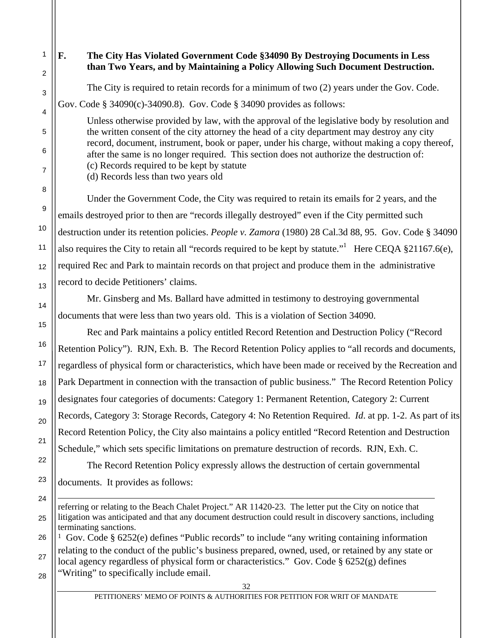32 1 2 3 4 5 6 7 8 9 10 11 12 13 14 15 16 17 18 19 20 21 22 23 24 25 26 27 28 **F. The City Has Violated Government Code §34090 By Destroying Documents in Less than Two Years, and by Maintaining a Policy Allowing Such Document Destruction.**  The City is required to retain records for a minimum of two (2) years under the Gov. Code. Gov. Code § 34090(c)-34090.8). Gov. Code § 34090 provides as follows: Unless otherwise provided by law, with the approval of the legislative body by resolution and the written consent of the city attorney the head of a city department may destroy any city record, document, instrument, book or paper, under his charge, without making a copy thereof, after the same is no longer required. This section does not authorize the destruction of: (c) Records required to be kept by statute (d) Records less than two years old Under the Government Code, the City was required to retain its emails for 2 years, and the emails destroyed prior to then are "records illegally destroyed" even if the City permitted such destruction under its retention policies. *People v. Zamora* (1980) 28 Cal.3d 88, 95. Gov. Code § 34090 also requires the City to retain all "records required to be kept by statute." Here CEQA  $\S21167.6(e)$ , required Rec and Park to maintain records on that project and produce them in the administrative record to decide Petitioners' claims. Mr. Ginsberg and Ms. Ballard have admitted in testimony to destroying governmental documents that were less than two years old. This is a violation of Section 34090. Rec and Park maintains a policy entitled Record Retention and Destruction Policy ("Record Retention Policy"). RJN, Exh. B. The Record Retention Policy applies to "all records and documents, regardless of physical form or characteristics, which have been made or received by the Recreation and Park Department in connection with the transaction of public business." The Record Retention Policy designates four categories of documents: Category 1: Permanent Retention, Category 2: Current Records, Category 3: Storage Records, Category 4: No Retention Required. *Id*. at pp. 1-2. As part of its Record Retention Policy, the City also maintains a policy entitled "Record Retention and Destruction Schedule," which sets specific limitations on premature destruction of records. RJN, Exh. C. The Record Retention Policy expressly allows the destruction of certain governmental documents. It provides as follows:  $\overline{a}$ referring or relating to the Beach Chalet Project." AR 11420-23. The letter put the City on notice that litigation was anticipated and that any document destruction could result in discovery sanctions, including terminating sanctions. <sup>1</sup> Gov. Code § 6252(e) defines "Public records" to include "any writing containing information relating to the conduct of the public's business prepared, owned, used, or retained by any state or local agency regardless of physical form or characteristics." Gov. Code § 6252(g) defines "Writing" to specifically include email.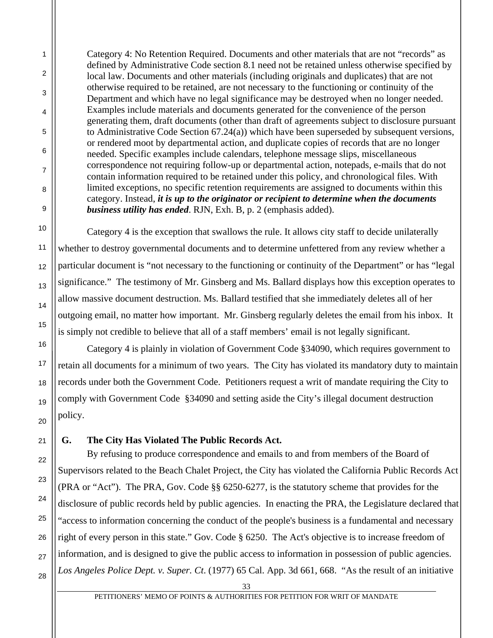Category 4: No Retention Required. Documents and other materials that are not "records" as defined by Administrative Code section 8.1 need not be retained unless otherwise specified by local law. Documents and other materials (including originals and duplicates) that are not otherwise required to be retained, are not necessary to the functioning or continuity of the Department and which have no legal significance may be destroyed when no longer needed. Examples include materials and documents generated for the convenience of the person generating them, draft documents (other than draft of agreements subject to disclosure pursuant to Administrative Code Section 67.24(a)) which have been superseded by subsequent versions, or rendered moot by departmental action, and duplicate copies of records that are no longer needed. Specific examples include calendars, telephone message slips, miscellaneous correspondence not requiring follow-up or departmental action, notepads, e-mails that do not contain information required to be retained under this policy, and chronological files. With limited exceptions, no specific retention requirements are assigned to documents within this category. Instead, *it is up to the originator or recipient to determine when the documents business utility has ended*. RJN, Exh. B, p. 2 (emphasis added).

 Category 4 is the exception that swallows the rule. It allows city staff to decide unilaterally whether to destroy governmental documents and to determine unfettered from any review whether a particular document is "not necessary to the functioning or continuity of the Department" or has "legal significance." The testimony of Mr. Ginsberg and Ms. Ballard displays how this exception operates to allow massive document destruction. Ms. Ballard testified that she immediately deletes all of her outgoing email, no matter how important. Mr. Ginsberg regularly deletes the email from his inbox. It is simply not credible to believe that all of a staff members' email is not legally significant.

 Category 4 is plainly in violation of Government Code §34090, which requires government to retain all documents for a minimum of two years. The City has violated its mandatory duty to maintain records under both the Government Code. Petitioners request a writ of mandate requiring the City to comply with Government Code §34090 and setting aside the City's illegal document destruction policy.

# **G. The City Has Violated The Public Records Act.**

 By refusing to produce correspondence and emails to and from members of the Board of Supervisors related to the Beach Chalet Project, the City has violated the California Public Records Act (PRA or "Act"). The PRA, Gov. Code §§ 6250-6277, is the statutory scheme that provides for the disclosure of public records held by public agencies. In enacting the PRA, the Legislature declared that "access to information concerning the conduct of the people's business is a fundamental and necessary right of every person in this state." Gov. Code § 6250. The Act's objective is to increase freedom of information, and is designed to give the public access to information in possession of public agencies. *Los Angeles Police Dept. v. Super. Ct*. (1977) 65 Cal. App. 3d 661, 668. "As the result of an initiative

1

2

3

4

5

6

7

8

9

10

11

12

13

14

15

16

17

18

19

20

21

22

23

24

25

26

<sup>28</sup>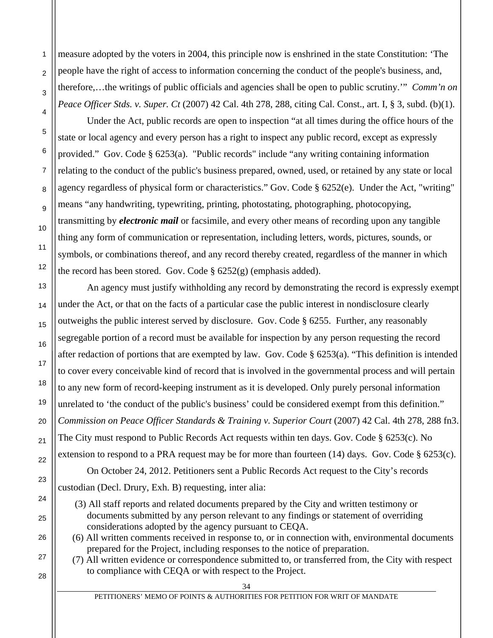measure adopted by the voters in 2004, this principle now is enshrined in the state Constitution: 'The people have the right of access to information concerning the conduct of the people's business, and, therefore,…the writings of public officials and agencies shall be open to public scrutiny.'" *Comm'n on Peace Officer Stds. v. Super. Ct* (2007) 42 Cal. 4th 278, 288, citing Cal. Const., art. I, § 3, subd. (b)(1).

 Under the Act, public records are open to inspection "at all times during the office hours of the state or local agency and every person has a right to inspect any public record, except as expressly provided." Gov. Code § 6253(a). "Public records" include "any writing containing information relating to the conduct of the public's business prepared, owned, used, or retained by any state or local agency regardless of physical form or characteristics." Gov. Code § 6252(e). Under the Act, "writing" means "any handwriting, typewriting, printing, photostating, photographing, photocopying, transmitting by *electronic mail* or facsimile, and every other means of recording upon any tangible thing any form of communication or representation, including letters, words, pictures, sounds, or symbols, or combinations thereof, and any record thereby created, regardless of the manner in which the record has been stored. Gov. Code  $\S 6252(g)$  (emphasis added).

 An agency must justify withholding any record by demonstrating the record is expressly exempt under the Act, or that on the facts of a particular case the public interest in nondisclosure clearly outweighs the public interest served by disclosure. Gov. Code § 6255. Further, any reasonably segregable portion of a record must be available for inspection by any person requesting the record after redaction of portions that are exempted by law. Gov. Code § 6253(a). "This definition is intended to cover every conceivable kind of record that is involved in the governmental process and will pertain to any new form of record-keeping instrument as it is developed. Only purely personal information unrelated to 'the conduct of the public's business' could be considered exempt from this definition." *Commission on Peace Officer Standards & Training v. Superior Court* (2007) 42 Cal. 4th 278, 288 fn3. The City must respond to Public Records Act requests within ten days. Gov. Code § 6253(c). No extension to respond to a PRA request may be for more than fourteen (14) days. Gov. Code § 6253(c).

 On October 24, 2012. Petitioners sent a Public Records Act request to the City's records custodian (Decl. Drury, Exh. B) requesting, inter alia:

- (3) All staff reports and related documents prepared by the City and written testimony or documents submitted by any person relevant to any findings or statement of overriding considerations adopted by the agency pursuant to CEQA.
- (6) All written comments received in response to, or in connection with, environmental documents prepared for the Project, including responses to the notice of preparation.
	- (7) All written evidence or correspondence submitted to, or transferred from, the City with respect to compliance with CEQA or with respect to the Project.

28

1

 $\overline{2}$ 

3

4

5

6

7

8

9

10

11

12

13

14

15

16

17

18

19

20

21

22

23

24

25

26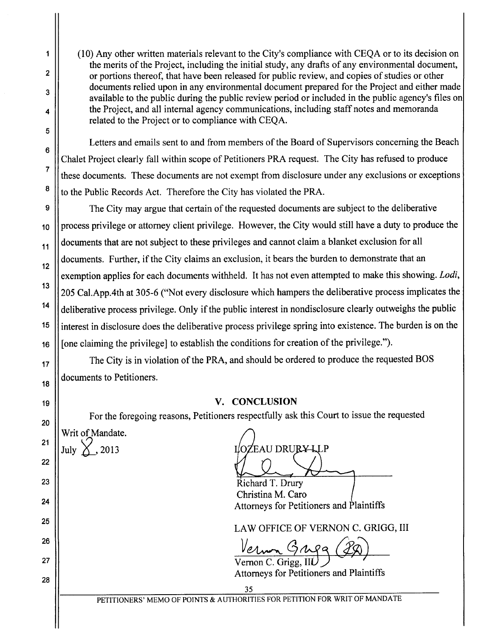(10) Any other written materials relevant to the City's compliance with CEOA or to its decision on the merits of the Project, including the initial study, any drafts of any environmental document, or portions thereof, that have been released for public review, and copies of studies or other documents relied upon in any environmental document prepared for the Project and either made available to the public during the public review period or included in the public agency's files on the Project, and all internal agency communications, including staff notes and memoranda related to the Project or to compliance with CEOA.

Letters and emails sent to and from members of the Board of Supervisors concerning the Beach Chalet Project clearly fall within scope of Petitioners PRA request. The City has refused to produce these documents. These documents are not exempt from disclosure under any exclusions or exceptions to the Public Records Act. Therefore the City has violated the PRA.

The City may argue that certain of the requested documents are subject to the deliberative process privilege or attorney client privilege. However, the City would still have a duty to produce the documents that are not subject to these privileges and cannot claim a blanket exclusion for all documents. Further, if the City claims an exclusion, it bears the burden to demonstrate that an exemption applies for each documents withheld. It has not even attempted to make this showing. Lodi, 205 Cal. App. 4th at 305-6 ("Not every disclosure which hampers the deliberative process implicates the deliberative process privilege. Only if the public interest in nondisclosure clearly outweighs the public interest in disclosure does the deliberative process privilege spring into existence. The burden is on the [one claiming the privilege] to establish the conditions for creation of the privilege.").

The City is in violation of the PRA, and should be ordered to produce the requested BOS documents to Petitioners.

# V. CONCLUSION

For the foregoing reasons, Petitioners respectfully ask this Court to issue the requested

Writ of Mandate. July  $\times$ , 2013

1

 $\overline{2}$ 

3

4

5

6

 $\overline{7}$ 

8

9

10

11

 $12$ 

13

 $14$ 

15

16

17

18

19

20

 $21$ 

22

23

 $24$ 

25

26

27

28

IOZEAU DRURY-LLP

Richard T. Drury Christina M. Caro Attorneys for Petitioners and Plaintiffs

LAW OFFICE OF VERNON C. GRIGG, III

Vernon C. Grigg, IIL **Attorneys for Petitioners and Plaintiffs**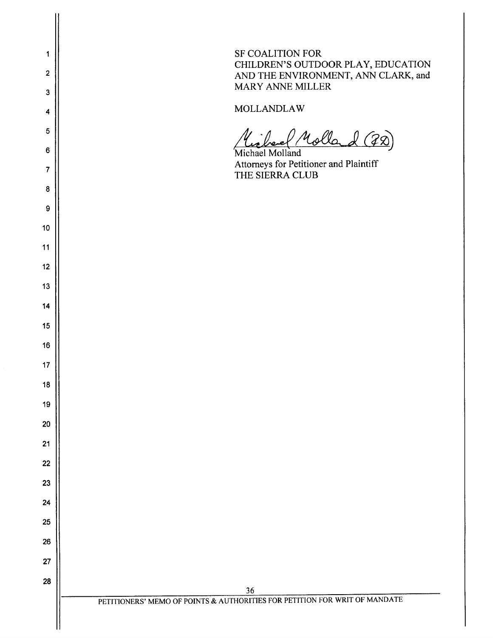